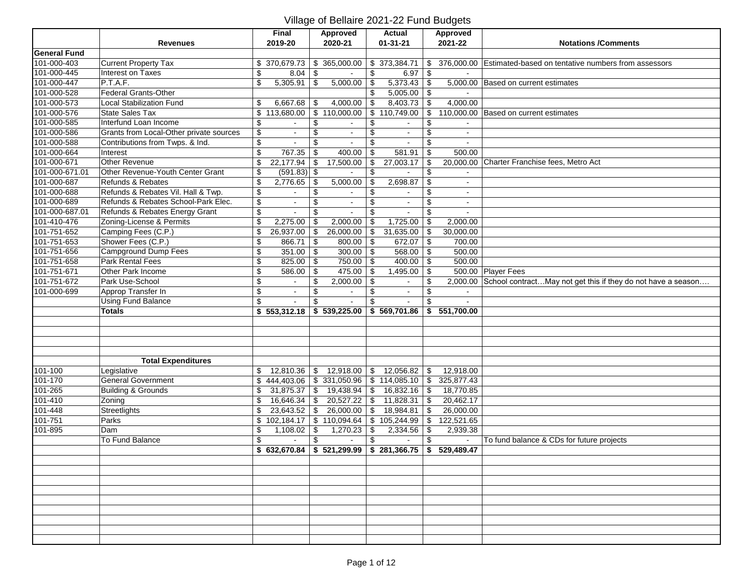|                     |                                         |                          | Final                 |     | Approved                                  |               | <b>Actual</b>              |                           | Approved   |                                                                       |
|---------------------|-----------------------------------------|--------------------------|-----------------------|-----|-------------------------------------------|---------------|----------------------------|---------------------------|------------|-----------------------------------------------------------------------|
|                     | <b>Revenues</b>                         |                          | 2019-20               |     | 2020-21                                   |               | $01 - 31 - 21$             |                           | 2021-22    | <b>Notations /Comments</b>                                            |
| <b>General Fund</b> |                                         |                          |                       |     |                                           |               |                            |                           |            |                                                                       |
| 101-000-403         | <b>Current Property Tax</b>             |                          | \$370,679.73          |     | \$365,000.00                              |               | \$373,384.71               | \$                        | 376,000.00 | Estimated-based on tentative numbers from assessors                   |
| 101-000-445         | Interest on Taxes                       | \$                       | 8.04                  | -\$ |                                           | \$            | 6.97   $$$                 |                           |            |                                                                       |
| 101-000-447         | P.T.A.F.                                | \$                       | 5,305.91              | \$  | 5,000.00                                  | \$            | 5,373.43                   | $\sqrt[6]{\frac{1}{2}}$   |            | 5,000.00 Based on current estimates                                   |
| 101-000-528         | Federal Grants-Other                    |                          |                       |     |                                           | \$            | $5,005.00$ \ \$            |                           |            |                                                                       |
| 101-000-573         | <b>Local Stabilization Fund</b>         | \$                       | 6,667.68              | -\$ | 4,000.00                                  | \$            | 8,403.73                   | \$                        | 4,000.00   |                                                                       |
| 101-000-576         | State Sales Tax                         | \$                       | 113,680.00            |     | $\sqrt{$}110,000.00$                      |               | \$110,749.00               | \$                        |            | 110,000.00 Based on current estimates                                 |
| 101-000-585         | Interfund Loan Income                   | \$                       |                       | \$  |                                           | \$            |                            | \$                        |            |                                                                       |
| 101-000-586         | Grants from Local-Other private sources | $\boldsymbol{\$}$        | $\blacksquare$        | \$  | $\sim$                                    | \$            | $\blacksquare$             | \$                        | $\sim$     |                                                                       |
| 101-000-588         | Contributions from Twps. & Ind.         | \$                       |                       | \$  |                                           | \$            |                            | \$                        |            |                                                                       |
| 101-000-664         | Interest                                | \$                       | 767.35                | \$  | 400.00                                    | \$            | 581.91                     | \$                        | 500.00     |                                                                       |
| 101-000-671         | Other Revenue                           | \$                       | 22,177.94             | \$  | 17,500.00                                 | \$            | 27,003.17                  | $\overline{\mathbf{e}}$   |            | 20,000.00 Charter Franchise fees, Metro Act                           |
| 101-000-671.01      | Other Revenue-Youth Center Grant        | $\overline{\$}$          | $(591.83)$ \$         |     |                                           | \$            |                            | \$                        |            |                                                                       |
| 101-000-687         | Refunds & Rebates                       | $\overline{\mathcal{L}}$ | 2,776.65              | -\$ | 5,000.00                                  | \$            | 2,698.87                   | $\overline{\mathcal{L}}$  |            |                                                                       |
| 101-000-688         | Refunds & Rebates Vil. Hall & Twp.      | $\overline{\mathcal{S}}$ |                       | \$  |                                           | \$            |                            | \$                        |            |                                                                       |
| 101-000-689         | Refunds & Rebates School-Park Elec.     | $\boldsymbol{\$}$        | $\mathbf{a}^{\prime}$ | \$  | $\blacksquare$                            | \$            | $\mathbb{Z}^{\mathbb{Z}}$  | \$                        | $\sim$     |                                                                       |
| 101-000-687.01      | Refunds & Rebates Energy Grant          | $\overline{\mathbf{e}}$  |                       | \$  | $\blacksquare$                            | \$            | $\sim$                     | \$                        |            |                                                                       |
| 101-410-476         | Zoning-License & Permits                | \$                       | 2,275.00              | -\$ | 2,000.00                                  | \$            | 1,725.00                   | \$                        | 2,000.00   |                                                                       |
| 101-751-652         | Camping Fees (C.P.)                     | $\overline{\mathcal{S}}$ | 26,937.00             | \$  | 26,000.00                                 | \$            | 31,635.00                  | \$                        | 30,000.00  |                                                                       |
| 101-751-653         | Shower Fees (C.P.)                      | $\overline{\$}$          | 866.71                | -\$ | 800.00                                    | \$            | 672.07                     | \$                        | 700.00     |                                                                       |
| 101-751-656         | Campground Dump Fees                    | $\overline{\$}$          | $351.00$ \$           |     | 300.00                                    | \$            | $568.00$ \$                |                           | 500.00     |                                                                       |
| 101-751-658         | Park Rental Fees                        | $\boldsymbol{\$}$        | $825.00$ \$           |     | 750.00                                    | $\sqrt[6]{2}$ | 400.00                     | $\sqrt[6]{\frac{1}{2}}$   | 500.00     |                                                                       |
| 101-751-671         | Other Park Income                       | $\overline{\mathcal{S}}$ | 586.00                | \$  | 475.00                                    | \$            | 1,495.00                   | $\boldsymbol{\mathsf{S}}$ |            | 500.00 Player Fees                                                    |
| 101-751-672         | Park Use-School                         | $\overline{\mathbf{e}}$  | $\sim$                | \$  | 2,000.00                                  | \$            | $\sim$                     | \$                        |            | 2,000.00 School contractMay not get this if they do not have a season |
| 101-000-699         | Approp Transfer In                      | $\overline{\mathbf{e}}$  | $\sim$                | \$  |                                           | \$            | $\mathbf{r}$               | \$                        |            |                                                                       |
|                     | <b>Using Fund Balance</b>               | $\overline{\mathcal{L}}$ | $\sim$                | \$  | $\mathbf{r}$                              | \$            | $\mathbf{u}^{\prime}$      | \$                        |            |                                                                       |
|                     | <b>Totals</b>                           |                          | \$553,312.18          |     | \$539,225.00                              |               | \$569,701.86               | \$                        | 551,700.00 |                                                                       |
|                     |                                         |                          |                       |     |                                           |               |                            |                           |            |                                                                       |
|                     |                                         |                          |                       |     |                                           |               |                            |                           |            |                                                                       |
|                     |                                         |                          |                       |     |                                           |               |                            |                           |            |                                                                       |
|                     |                                         |                          |                       |     |                                           |               |                            |                           |            |                                                                       |
|                     | <b>Total Expenditures</b>               |                          |                       |     |                                           |               |                            |                           |            |                                                                       |
| 101-100             | Legislative                             | \$                       | 12,810.36             | -\$ | 12,918.00                                 | \$            | 12,056.82                  | \$                        | 12,918.00  |                                                                       |
| 101-170             | <b>General Government</b>               | \$                       | 444,403.06            |     | $\frac{1}{2}$ 331,050.96                  |               | $\overline{\$}$ 114,085.10 | \$                        | 325,877.43 |                                                                       |
| 101-265             | <b>Building &amp; Grounds</b>           | \$                       | 31,875.37             | \$  | 19,438.94                                 | \$            | 16,832.16                  | \$                        | 18,770.85  |                                                                       |
| $101 - 410$         | Zoning                                  | \$                       | 16,646.34             | -\$ | 20,527.22                                 | \$            | 11,828.31                  | $\overline{\bullet}$      | 20,462.17  |                                                                       |
| 101-448             | Streetlights                            | \$                       | 23,643.52             | \$  | 26,000.00                                 | \$            | 18,984.81                  | $\overline{\mathbf{S}}$   | 26,000.00  |                                                                       |
| $101 - 751$         | Parks                                   | \$                       | 102,184.17            |     | $\frac{1}{2}$ 110,094.64                  |               | \$105,244.99               | $\overline{\mathbf{e}}$   | 122,521.65 |                                                                       |
| 101-895             | Dam                                     | \$                       | 1,108.02              | -\$ | 1,270.23                                  | \$            | 2,334.56                   | \$                        | 2,939.38   |                                                                       |
|                     | To Fund Balance                         | $\overline{\mathcal{L}}$ |                       | \$  |                                           | \$            |                            | \$                        | $\sim$     | To fund balance & CDs for future projects                             |
|                     |                                         | \$                       | 632,670.84            |     | $\frac{1}{2}$ \$ 521,299.99 \$ 281,366.75 |               |                            | \$                        | 529,489.47 |                                                                       |
|                     |                                         |                          |                       |     |                                           |               |                            |                           |            |                                                                       |
|                     |                                         |                          |                       |     |                                           |               |                            |                           |            |                                                                       |
|                     |                                         |                          |                       |     |                                           |               |                            |                           |            |                                                                       |
|                     |                                         |                          |                       |     |                                           |               |                            |                           |            |                                                                       |
|                     |                                         |                          |                       |     |                                           |               |                            |                           |            |                                                                       |
|                     |                                         |                          |                       |     |                                           |               |                            |                           |            |                                                                       |
|                     |                                         |                          |                       |     |                                           |               |                            |                           |            |                                                                       |
|                     |                                         |                          |                       |     |                                           |               |                            |                           |            |                                                                       |
|                     |                                         |                          |                       |     |                                           |               |                            |                           |            |                                                                       |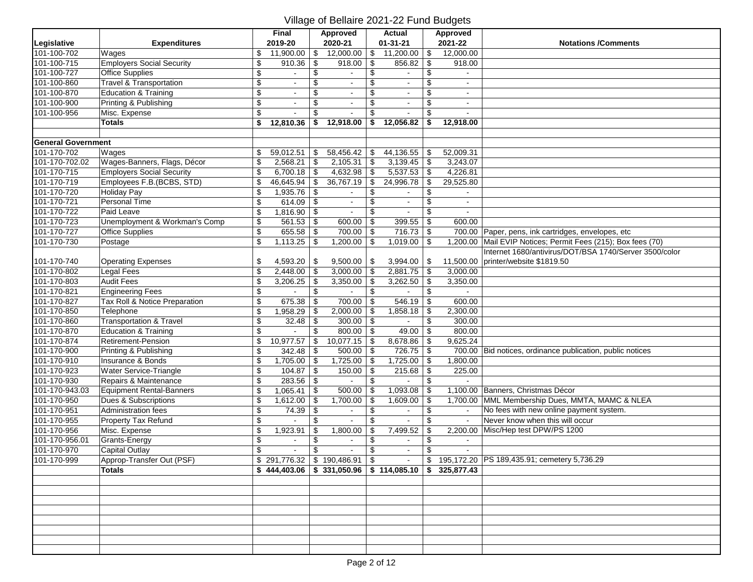| 2019-20<br>2020-21<br>$01 - 31 - 21$<br>2021-22<br>Legislative<br><b>Expenditures</b><br><b>Notations /Comments</b><br>101-100-702<br>12,000.00<br>12,000.00<br>Wages<br>\$<br>11,900.00<br>\$<br>11,200.00<br>\$<br>\$<br><b>Employers Social Security</b><br>101-100-715<br>\$<br>918.00<br>\$<br>856.82<br>\$<br>910.36<br>\$<br>918.00<br>101-100-727<br><b>Office Supplies</b><br>\$<br>\$<br>\$<br>\$<br>\$<br>$\overline{\mathcal{G}}$<br>101-100-860<br>Travel & Transportation<br>\$<br>\$<br>$\mathbf{r}$<br>$\overline{\mathcal{S}}$<br>101-100-870<br><b>Education &amp; Training</b><br>\$<br>\$<br>\$<br>$\omega$<br>$\blacksquare$<br>$\blacksquare$<br>$\sim$<br>Printing & Publishing<br>$\overline{\mathcal{S}}$<br>101-100-900<br>\$<br>\$<br>\$<br>$\bullet$<br>$\sim$<br>$\blacksquare$<br>$\overline{\mathcal{L}}$<br>\$<br>101-100-956<br>\$<br>Misc. Expense<br>\$<br>\$<br><b>Totals</b><br>\$<br>12,810.36<br>\$<br>12,918.00<br>\$<br>12,056.82<br>12,918.00<br><b>General Government</b><br>101-170-702<br>52,009.31<br>59,012.51<br>58,456.42<br>\$<br>44,136.55<br>\$<br>Wages<br>\$<br>\$<br>$\overline{\mathcal{S}}$<br>$\sqrt{3}$<br>101-170-702.02<br>Wages-Banners, Flags, Décor<br>2,568.21<br>2,105.31<br>\$<br>3,139.45<br>3,243.07<br>l \$<br>\$<br>$\overline{\$}$<br>101-170-715<br><b>Employers Social Security</b><br>6,700.18<br>4,632.98<br>\$<br>5,537.53<br>4,226.81<br>-\$<br>Employees F.B. (BCBS, STD)<br>$\overline{\mathcal{L}}$<br>$\overline{\$}$<br>$\overline{\$}$<br>101-170-719<br>46,645.94<br>\$<br>36,767.19<br>24,996.78<br>29,525.80<br>101-170-720<br>$\overline{\mathcal{L}}$<br>Holiday Pay<br>1,935.76<br>-\$<br>\$<br>\$<br>101-170-721<br>Personal Time<br>$\overline{\mathcal{E}}$<br>\$<br>\$<br>614.09<br>\$<br>$\blacksquare$<br>$\bullet$<br>$\sim$<br>$\overline{\mathcal{S}}$<br>101-170-722<br>Paid Leave<br>\$<br>\$<br>1,816.90<br>-\$<br>$\blacksquare$<br>101-170-723<br>Unemployment & Workman's Comp<br>\$<br>399.55<br>561.53<br>\$<br>600.00<br>\$<br>\$<br>600.00<br>101-170-727<br>$\overline{\mathcal{S}}$<br>655.58<br><b>Office Supplies</b><br>700.00<br>\$<br>716.73<br>\$<br>700.00 Paper, pens, ink cartridges, envelopes, etc<br>-\$<br>\$<br>101-170-730<br>1,113.25<br>\$<br>1,200.00<br>\$<br>\$<br>1,200.00 Mail EVIP Notices; Permit Fees (215); Box fees (70)<br>Postage<br>1,019.00<br>Internet 1680/antivirus/DOT/BSA 1740/Server 3500/color<br>11,500.00 printer/website \$1819.50<br>\$<br>101-170-740<br><b>Operating Expenses</b><br>4,593.20<br>-\$<br>9,500.00<br>3,994.00<br>\$<br>\$ |             |                   |                          | <b>Final</b> | Approved | <b>Actual</b> |                           | Approved |  |
|-----------------------------------------------------------------------------------------------------------------------------------------------------------------------------------------------------------------------------------------------------------------------------------------------------------------------------------------------------------------------------------------------------------------------------------------------------------------------------------------------------------------------------------------------------------------------------------------------------------------------------------------------------------------------------------------------------------------------------------------------------------------------------------------------------------------------------------------------------------------------------------------------------------------------------------------------------------------------------------------------------------------------------------------------------------------------------------------------------------------------------------------------------------------------------------------------------------------------------------------------------------------------------------------------------------------------------------------------------------------------------------------------------------------------------------------------------------------------------------------------------------------------------------------------------------------------------------------------------------------------------------------------------------------------------------------------------------------------------------------------------------------------------------------------------------------------------------------------------------------------------------------------------------------------------------------------------------------------------------------------------------------------------------------------------------------------------------------------------------------------------------------------------------------------------------------------------------------------------------------------------------------------------------------------------------------------------------------------------------------------------------------------------------------------------------------------------------------------------------------------------------------------------------------------------------------------------------------------------|-------------|-------------------|--------------------------|--------------|----------|---------------|---------------------------|----------|--|
|                                                                                                                                                                                                                                                                                                                                                                                                                                                                                                                                                                                                                                                                                                                                                                                                                                                                                                                                                                                                                                                                                                                                                                                                                                                                                                                                                                                                                                                                                                                                                                                                                                                                                                                                                                                                                                                                                                                                                                                                                                                                                                                                                                                                                                                                                                                                                                                                                                                                                                                                                                                                     |             |                   |                          |              |          |               |                           |          |  |
|                                                                                                                                                                                                                                                                                                                                                                                                                                                                                                                                                                                                                                                                                                                                                                                                                                                                                                                                                                                                                                                                                                                                                                                                                                                                                                                                                                                                                                                                                                                                                                                                                                                                                                                                                                                                                                                                                                                                                                                                                                                                                                                                                                                                                                                                                                                                                                                                                                                                                                                                                                                                     |             |                   |                          |              |          |               |                           |          |  |
|                                                                                                                                                                                                                                                                                                                                                                                                                                                                                                                                                                                                                                                                                                                                                                                                                                                                                                                                                                                                                                                                                                                                                                                                                                                                                                                                                                                                                                                                                                                                                                                                                                                                                                                                                                                                                                                                                                                                                                                                                                                                                                                                                                                                                                                                                                                                                                                                                                                                                                                                                                                                     |             |                   |                          |              |          |               |                           |          |  |
|                                                                                                                                                                                                                                                                                                                                                                                                                                                                                                                                                                                                                                                                                                                                                                                                                                                                                                                                                                                                                                                                                                                                                                                                                                                                                                                                                                                                                                                                                                                                                                                                                                                                                                                                                                                                                                                                                                                                                                                                                                                                                                                                                                                                                                                                                                                                                                                                                                                                                                                                                                                                     |             |                   |                          |              |          |               |                           |          |  |
|                                                                                                                                                                                                                                                                                                                                                                                                                                                                                                                                                                                                                                                                                                                                                                                                                                                                                                                                                                                                                                                                                                                                                                                                                                                                                                                                                                                                                                                                                                                                                                                                                                                                                                                                                                                                                                                                                                                                                                                                                                                                                                                                                                                                                                                                                                                                                                                                                                                                                                                                                                                                     |             |                   |                          |              |          |               |                           |          |  |
|                                                                                                                                                                                                                                                                                                                                                                                                                                                                                                                                                                                                                                                                                                                                                                                                                                                                                                                                                                                                                                                                                                                                                                                                                                                                                                                                                                                                                                                                                                                                                                                                                                                                                                                                                                                                                                                                                                                                                                                                                                                                                                                                                                                                                                                                                                                                                                                                                                                                                                                                                                                                     |             |                   |                          |              |          |               |                           |          |  |
|                                                                                                                                                                                                                                                                                                                                                                                                                                                                                                                                                                                                                                                                                                                                                                                                                                                                                                                                                                                                                                                                                                                                                                                                                                                                                                                                                                                                                                                                                                                                                                                                                                                                                                                                                                                                                                                                                                                                                                                                                                                                                                                                                                                                                                                                                                                                                                                                                                                                                                                                                                                                     |             |                   |                          |              |          |               |                           |          |  |
|                                                                                                                                                                                                                                                                                                                                                                                                                                                                                                                                                                                                                                                                                                                                                                                                                                                                                                                                                                                                                                                                                                                                                                                                                                                                                                                                                                                                                                                                                                                                                                                                                                                                                                                                                                                                                                                                                                                                                                                                                                                                                                                                                                                                                                                                                                                                                                                                                                                                                                                                                                                                     |             |                   |                          |              |          |               |                           |          |  |
|                                                                                                                                                                                                                                                                                                                                                                                                                                                                                                                                                                                                                                                                                                                                                                                                                                                                                                                                                                                                                                                                                                                                                                                                                                                                                                                                                                                                                                                                                                                                                                                                                                                                                                                                                                                                                                                                                                                                                                                                                                                                                                                                                                                                                                                                                                                                                                                                                                                                                                                                                                                                     |             |                   |                          |              |          |               |                           |          |  |
|                                                                                                                                                                                                                                                                                                                                                                                                                                                                                                                                                                                                                                                                                                                                                                                                                                                                                                                                                                                                                                                                                                                                                                                                                                                                                                                                                                                                                                                                                                                                                                                                                                                                                                                                                                                                                                                                                                                                                                                                                                                                                                                                                                                                                                                                                                                                                                                                                                                                                                                                                                                                     |             |                   |                          |              |          |               |                           |          |  |
|                                                                                                                                                                                                                                                                                                                                                                                                                                                                                                                                                                                                                                                                                                                                                                                                                                                                                                                                                                                                                                                                                                                                                                                                                                                                                                                                                                                                                                                                                                                                                                                                                                                                                                                                                                                                                                                                                                                                                                                                                                                                                                                                                                                                                                                                                                                                                                                                                                                                                                                                                                                                     |             |                   |                          |              |          |               |                           |          |  |
|                                                                                                                                                                                                                                                                                                                                                                                                                                                                                                                                                                                                                                                                                                                                                                                                                                                                                                                                                                                                                                                                                                                                                                                                                                                                                                                                                                                                                                                                                                                                                                                                                                                                                                                                                                                                                                                                                                                                                                                                                                                                                                                                                                                                                                                                                                                                                                                                                                                                                                                                                                                                     |             |                   |                          |              |          |               |                           |          |  |
|                                                                                                                                                                                                                                                                                                                                                                                                                                                                                                                                                                                                                                                                                                                                                                                                                                                                                                                                                                                                                                                                                                                                                                                                                                                                                                                                                                                                                                                                                                                                                                                                                                                                                                                                                                                                                                                                                                                                                                                                                                                                                                                                                                                                                                                                                                                                                                                                                                                                                                                                                                                                     |             |                   |                          |              |          |               |                           |          |  |
|                                                                                                                                                                                                                                                                                                                                                                                                                                                                                                                                                                                                                                                                                                                                                                                                                                                                                                                                                                                                                                                                                                                                                                                                                                                                                                                                                                                                                                                                                                                                                                                                                                                                                                                                                                                                                                                                                                                                                                                                                                                                                                                                                                                                                                                                                                                                                                                                                                                                                                                                                                                                     |             |                   |                          |              |          |               |                           |          |  |
|                                                                                                                                                                                                                                                                                                                                                                                                                                                                                                                                                                                                                                                                                                                                                                                                                                                                                                                                                                                                                                                                                                                                                                                                                                                                                                                                                                                                                                                                                                                                                                                                                                                                                                                                                                                                                                                                                                                                                                                                                                                                                                                                                                                                                                                                                                                                                                                                                                                                                                                                                                                                     |             |                   |                          |              |          |               |                           |          |  |
|                                                                                                                                                                                                                                                                                                                                                                                                                                                                                                                                                                                                                                                                                                                                                                                                                                                                                                                                                                                                                                                                                                                                                                                                                                                                                                                                                                                                                                                                                                                                                                                                                                                                                                                                                                                                                                                                                                                                                                                                                                                                                                                                                                                                                                                                                                                                                                                                                                                                                                                                                                                                     |             |                   |                          |              |          |               |                           |          |  |
|                                                                                                                                                                                                                                                                                                                                                                                                                                                                                                                                                                                                                                                                                                                                                                                                                                                                                                                                                                                                                                                                                                                                                                                                                                                                                                                                                                                                                                                                                                                                                                                                                                                                                                                                                                                                                                                                                                                                                                                                                                                                                                                                                                                                                                                                                                                                                                                                                                                                                                                                                                                                     |             |                   |                          |              |          |               |                           |          |  |
|                                                                                                                                                                                                                                                                                                                                                                                                                                                                                                                                                                                                                                                                                                                                                                                                                                                                                                                                                                                                                                                                                                                                                                                                                                                                                                                                                                                                                                                                                                                                                                                                                                                                                                                                                                                                                                                                                                                                                                                                                                                                                                                                                                                                                                                                                                                                                                                                                                                                                                                                                                                                     |             |                   |                          |              |          |               |                           |          |  |
|                                                                                                                                                                                                                                                                                                                                                                                                                                                                                                                                                                                                                                                                                                                                                                                                                                                                                                                                                                                                                                                                                                                                                                                                                                                                                                                                                                                                                                                                                                                                                                                                                                                                                                                                                                                                                                                                                                                                                                                                                                                                                                                                                                                                                                                                                                                                                                                                                                                                                                                                                                                                     |             |                   |                          |              |          |               |                           |          |  |
|                                                                                                                                                                                                                                                                                                                                                                                                                                                                                                                                                                                                                                                                                                                                                                                                                                                                                                                                                                                                                                                                                                                                                                                                                                                                                                                                                                                                                                                                                                                                                                                                                                                                                                                                                                                                                                                                                                                                                                                                                                                                                                                                                                                                                                                                                                                                                                                                                                                                                                                                                                                                     |             |                   |                          |              |          |               |                           |          |  |
|                                                                                                                                                                                                                                                                                                                                                                                                                                                                                                                                                                                                                                                                                                                                                                                                                                                                                                                                                                                                                                                                                                                                                                                                                                                                                                                                                                                                                                                                                                                                                                                                                                                                                                                                                                                                                                                                                                                                                                                                                                                                                                                                                                                                                                                                                                                                                                                                                                                                                                                                                                                                     |             |                   |                          |              |          |               |                           |          |  |
|                                                                                                                                                                                                                                                                                                                                                                                                                                                                                                                                                                                                                                                                                                                                                                                                                                                                                                                                                                                                                                                                                                                                                                                                                                                                                                                                                                                                                                                                                                                                                                                                                                                                                                                                                                                                                                                                                                                                                                                                                                                                                                                                                                                                                                                                                                                                                                                                                                                                                                                                                                                                     |             |                   |                          |              |          |               |                           |          |  |
|                                                                                                                                                                                                                                                                                                                                                                                                                                                                                                                                                                                                                                                                                                                                                                                                                                                                                                                                                                                                                                                                                                                                                                                                                                                                                                                                                                                                                                                                                                                                                                                                                                                                                                                                                                                                                                                                                                                                                                                                                                                                                                                                                                                                                                                                                                                                                                                                                                                                                                                                                                                                     |             |                   |                          |              |          |               |                           |          |  |
| \$<br>\$                                                                                                                                                                                                                                                                                                                                                                                                                                                                                                                                                                                                                                                                                                                                                                                                                                                                                                                                                                                                                                                                                                                                                                                                                                                                                                                                                                                                                                                                                                                                                                                                                                                                                                                                                                                                                                                                                                                                                                                                                                                                                                                                                                                                                                                                                                                                                                                                                                                                                                                                                                                            | 101-170-802 | <b>Legal Fees</b> | $\overline{\mathcal{L}}$ | 2,448.00     | 3,000.00 | 2,881.75      | $\boldsymbol{\mathsf{S}}$ | 3,000.00 |  |
| 101-170-803<br><b>Audit Fees</b><br>\$<br>\$<br>\$<br>3,206.25<br>3,350.00<br>3,262.50<br>3,350.00<br>-\$                                                                                                                                                                                                                                                                                                                                                                                                                                                                                                                                                                                                                                                                                                                                                                                                                                                                                                                                                                                                                                                                                                                                                                                                                                                                                                                                                                                                                                                                                                                                                                                                                                                                                                                                                                                                                                                                                                                                                                                                                                                                                                                                                                                                                                                                                                                                                                                                                                                                                           |             |                   |                          |              |          |               |                           |          |  |
| 101-170-821<br>\$<br>\$<br>\$<br><b>Engineering Fees</b><br>\$                                                                                                                                                                                                                                                                                                                                                                                                                                                                                                                                                                                                                                                                                                                                                                                                                                                                                                                                                                                                                                                                                                                                                                                                                                                                                                                                                                                                                                                                                                                                                                                                                                                                                                                                                                                                                                                                                                                                                                                                                                                                                                                                                                                                                                                                                                                                                                                                                                                                                                                                      |             |                   |                          |              |          |               |                           |          |  |
| 101-170-827<br>\$<br>546.19<br>\$<br>Tax Roll & Notice Preparation<br>\$<br>675.38<br>\$<br>700.00<br>600.00                                                                                                                                                                                                                                                                                                                                                                                                                                                                                                                                                                                                                                                                                                                                                                                                                                                                                                                                                                                                                                                                                                                                                                                                                                                                                                                                                                                                                                                                                                                                                                                                                                                                                                                                                                                                                                                                                                                                                                                                                                                                                                                                                                                                                                                                                                                                                                                                                                                                                        |             |                   |                          |              |          |               |                           |          |  |
| 101-170-850<br>\$<br>1,958.29<br>2,000.00<br>\$<br>1,858.18<br>\$<br>2,300.00<br>Telephone<br>\$                                                                                                                                                                                                                                                                                                                                                                                                                                                                                                                                                                                                                                                                                                                                                                                                                                                                                                                                                                                                                                                                                                                                                                                                                                                                                                                                                                                                                                                                                                                                                                                                                                                                                                                                                                                                                                                                                                                                                                                                                                                                                                                                                                                                                                                                                                                                                                                                                                                                                                    |             |                   |                          |              |          |               |                           |          |  |
| $\overline{\mathbf{e}}$<br>101-170-860<br><b>Transportation &amp; Travel</b><br>32.48<br>\$<br>300.00<br>\$<br>\$<br>300.00<br>$\sim$                                                                                                                                                                                                                                                                                                                                                                                                                                                                                                                                                                                                                                                                                                                                                                                                                                                                                                                                                                                                                                                                                                                                                                                                                                                                                                                                                                                                                                                                                                                                                                                                                                                                                                                                                                                                                                                                                                                                                                                                                                                                                                                                                                                                                                                                                                                                                                                                                                                               |             |                   |                          |              |          |               |                           |          |  |
| $\overline{\$}$<br>101-170-870<br>Education & Training<br>\$<br>800.00<br>\$<br>49.00<br>\$<br>800.00                                                                                                                                                                                                                                                                                                                                                                                                                                                                                                                                                                                                                                                                                                                                                                                                                                                                                                                                                                                                                                                                                                                                                                                                                                                                                                                                                                                                                                                                                                                                                                                                                                                                                                                                                                                                                                                                                                                                                                                                                                                                                                                                                                                                                                                                                                                                                                                                                                                                                               |             |                   |                          |              |          |               |                           |          |  |
| 101-170-874<br>Retirement-Pension<br>\$<br>10,977.57<br>10,077.15<br>\$<br>8,678.86<br>\$<br>9,625.24<br>\$                                                                                                                                                                                                                                                                                                                                                                                                                                                                                                                                                                                                                                                                                                                                                                                                                                                                                                                                                                                                                                                                                                                                                                                                                                                                                                                                                                                                                                                                                                                                                                                                                                                                                                                                                                                                                                                                                                                                                                                                                                                                                                                                                                                                                                                                                                                                                                                                                                                                                         |             |                   |                          |              |          |               |                           |          |  |
| 101-170-900<br>\$<br>726.75<br>Printing & Publishing<br>342.48<br>500.00<br>\$<br>\$<br>\$<br>700.00 Bid notices, ordinance publication, public notices                                                                                                                                                                                                                                                                                                                                                                                                                                                                                                                                                                                                                                                                                                                                                                                                                                                                                                                                                                                                                                                                                                                                                                                                                                                                                                                                                                                                                                                                                                                                                                                                                                                                                                                                                                                                                                                                                                                                                                                                                                                                                                                                                                                                                                                                                                                                                                                                                                             |             |                   |                          |              |          |               |                           |          |  |
| 101-170-910<br>Insurance & Bonds<br>\$<br>1,725.00<br>1,725.00<br>\$<br>1,800.00<br>1,705.00<br>\$<br>\$                                                                                                                                                                                                                                                                                                                                                                                                                                                                                                                                                                                                                                                                                                                                                                                                                                                                                                                                                                                                                                                                                                                                                                                                                                                                                                                                                                                                                                                                                                                                                                                                                                                                                                                                                                                                                                                                                                                                                                                                                                                                                                                                                                                                                                                                                                                                                                                                                                                                                            |             |                   |                          |              |          |               |                           |          |  |
| Water Service-Triangle<br>101-170-923<br>\$<br>104.87<br>\$<br>150.00<br>\$<br>215.68<br>\$<br>225.00                                                                                                                                                                                                                                                                                                                                                                                                                                                                                                                                                                                                                                                                                                                                                                                                                                                                                                                                                                                                                                                                                                                                                                                                                                                                                                                                                                                                                                                                                                                                                                                                                                                                                                                                                                                                                                                                                                                                                                                                                                                                                                                                                                                                                                                                                                                                                                                                                                                                                               |             |                   |                          |              |          |               |                           |          |  |
| $\overline{\mathcal{S}}$<br>101-170-930<br>Repairs & Maintenance<br>283.56<br>\$<br>\$<br>\$                                                                                                                                                                                                                                                                                                                                                                                                                                                                                                                                                                                                                                                                                                                                                                                                                                                                                                                                                                                                                                                                                                                                                                                                                                                                                                                                                                                                                                                                                                                                                                                                                                                                                                                                                                                                                                                                                                                                                                                                                                                                                                                                                                                                                                                                                                                                                                                                                                                                                                        |             |                   |                          |              |          |               |                           |          |  |
| 1,065.41<br>1,100.00 Banners, Christmas Décor<br>101-170-943.03<br>Equipment Rental-Banners<br>\$<br>\$<br>500.00<br>\$<br>1,093.08<br>\$                                                                                                                                                                                                                                                                                                                                                                                                                                                                                                                                                                                                                                                                                                                                                                                                                                                                                                                                                                                                                                                                                                                                                                                                                                                                                                                                                                                                                                                                                                                                                                                                                                                                                                                                                                                                                                                                                                                                                                                                                                                                                                                                                                                                                                                                                                                                                                                                                                                           |             |                   |                          |              |          |               |                           |          |  |
| $\overline{\$}$<br>101-170-950<br>Dues & Subscriptions<br>1,612.00<br>1,700.00<br>\$<br>1,609.00<br>\$<br>1,700.00 MML Membership Dues, MMTA, MAMC & NLEA<br>\$                                                                                                                                                                                                                                                                                                                                                                                                                                                                                                                                                                                                                                                                                                                                                                                                                                                                                                                                                                                                                                                                                                                                                                                                                                                                                                                                                                                                                                                                                                                                                                                                                                                                                                                                                                                                                                                                                                                                                                                                                                                                                                                                                                                                                                                                                                                                                                                                                                     |             |                   |                          |              |          |               |                           |          |  |
| \$<br>101-170-951<br>Administration fees<br>74.39<br>\$<br>\$<br>\$<br>No fees with new online payment system.<br>$\sim$<br>$\mathbf{r}$                                                                                                                                                                                                                                                                                                                                                                                                                                                                                                                                                                                                                                                                                                                                                                                                                                                                                                                                                                                                                                                                                                                                                                                                                                                                                                                                                                                                                                                                                                                                                                                                                                                                                                                                                                                                                                                                                                                                                                                                                                                                                                                                                                                                                                                                                                                                                                                                                                                            |             |                   |                          |              |          |               |                           |          |  |
| 101-170-955<br>$\overline{\mathcal{S}}$<br>\$<br>\$<br><b>Property Tax Refund</b><br>Never know when this will occur<br>\$                                                                                                                                                                                                                                                                                                                                                                                                                                                                                                                                                                                                                                                                                                                                                                                                                                                                                                                                                                                                                                                                                                                                                                                                                                                                                                                                                                                                                                                                                                                                                                                                                                                                                                                                                                                                                                                                                                                                                                                                                                                                                                                                                                                                                                                                                                                                                                                                                                                                          |             |                   |                          |              |          |               |                           |          |  |
| 101-170-956<br>\$<br>2,200.00 Misc/Hep test DPW/PS 1200<br>Misc. Expense<br>\$<br>\$<br>7,499.52<br>1,923.91<br>1,800.00<br>\$                                                                                                                                                                                                                                                                                                                                                                                                                                                                                                                                                                                                                                                                                                                                                                                                                                                                                                                                                                                                                                                                                                                                                                                                                                                                                                                                                                                                                                                                                                                                                                                                                                                                                                                                                                                                                                                                                                                                                                                                                                                                                                                                                                                                                                                                                                                                                                                                                                                                      |             |                   |                          |              |          |               |                           |          |  |
| $\overline{\mathcal{S}}$<br>101-170-956.01<br><b>Grants-Energy</b><br>\$<br>\$<br>\$                                                                                                                                                                                                                                                                                                                                                                                                                                                                                                                                                                                                                                                                                                                                                                                                                                                                                                                                                                                                                                                                                                                                                                                                                                                                                                                                                                                                                                                                                                                                                                                                                                                                                                                                                                                                                                                                                                                                                                                                                                                                                                                                                                                                                                                                                                                                                                                                                                                                                                                |             |                   |                          |              |          |               |                           |          |  |
| $\overline{\mathbf{e}}$<br>$\boldsymbol{\mathsf{S}}$<br>$\overline{\mathbf{e}}$<br>101-170-970<br>\$<br>Capital Outlay<br>$\bullet$<br>$\sim$<br>$\sim$<br>$\sim$                                                                                                                                                                                                                                                                                                                                                                                                                                                                                                                                                                                                                                                                                                                                                                                                                                                                                                                                                                                                                                                                                                                                                                                                                                                                                                                                                                                                                                                                                                                                                                                                                                                                                                                                                                                                                                                                                                                                                                                                                                                                                                                                                                                                                                                                                                                                                                                                                                   |             |                   |                          |              |          |               |                           |          |  |
| 101-170-999<br>Approp-Transfer Out (PSF)<br>$$291,776.32 \mid $190,486.91 \mid $$<br>\$195,172.20 PS 189,435.91; cemetery 5,736.29                                                                                                                                                                                                                                                                                                                                                                                                                                                                                                                                                                                                                                                                                                                                                                                                                                                                                                                                                                                                                                                                                                                                                                                                                                                                                                                                                                                                                                                                                                                                                                                                                                                                                                                                                                                                                                                                                                                                                                                                                                                                                                                                                                                                                                                                                                                                                                                                                                                                  |             |                   |                          |              |          |               |                           |          |  |
| $$444,403.06$ $$331,050.96$ $$114,085.10$ $$325,877.43$<br><b>Totals</b>                                                                                                                                                                                                                                                                                                                                                                                                                                                                                                                                                                                                                                                                                                                                                                                                                                                                                                                                                                                                                                                                                                                                                                                                                                                                                                                                                                                                                                                                                                                                                                                                                                                                                                                                                                                                                                                                                                                                                                                                                                                                                                                                                                                                                                                                                                                                                                                                                                                                                                                            |             |                   |                          |              |          |               |                           |          |  |
|                                                                                                                                                                                                                                                                                                                                                                                                                                                                                                                                                                                                                                                                                                                                                                                                                                                                                                                                                                                                                                                                                                                                                                                                                                                                                                                                                                                                                                                                                                                                                                                                                                                                                                                                                                                                                                                                                                                                                                                                                                                                                                                                                                                                                                                                                                                                                                                                                                                                                                                                                                                                     |             |                   |                          |              |          |               |                           |          |  |
|                                                                                                                                                                                                                                                                                                                                                                                                                                                                                                                                                                                                                                                                                                                                                                                                                                                                                                                                                                                                                                                                                                                                                                                                                                                                                                                                                                                                                                                                                                                                                                                                                                                                                                                                                                                                                                                                                                                                                                                                                                                                                                                                                                                                                                                                                                                                                                                                                                                                                                                                                                                                     |             |                   |                          |              |          |               |                           |          |  |
|                                                                                                                                                                                                                                                                                                                                                                                                                                                                                                                                                                                                                                                                                                                                                                                                                                                                                                                                                                                                                                                                                                                                                                                                                                                                                                                                                                                                                                                                                                                                                                                                                                                                                                                                                                                                                                                                                                                                                                                                                                                                                                                                                                                                                                                                                                                                                                                                                                                                                                                                                                                                     |             |                   |                          |              |          |               |                           |          |  |
|                                                                                                                                                                                                                                                                                                                                                                                                                                                                                                                                                                                                                                                                                                                                                                                                                                                                                                                                                                                                                                                                                                                                                                                                                                                                                                                                                                                                                                                                                                                                                                                                                                                                                                                                                                                                                                                                                                                                                                                                                                                                                                                                                                                                                                                                                                                                                                                                                                                                                                                                                                                                     |             |                   |                          |              |          |               |                           |          |  |
|                                                                                                                                                                                                                                                                                                                                                                                                                                                                                                                                                                                                                                                                                                                                                                                                                                                                                                                                                                                                                                                                                                                                                                                                                                                                                                                                                                                                                                                                                                                                                                                                                                                                                                                                                                                                                                                                                                                                                                                                                                                                                                                                                                                                                                                                                                                                                                                                                                                                                                                                                                                                     |             |                   |                          |              |          |               |                           |          |  |
|                                                                                                                                                                                                                                                                                                                                                                                                                                                                                                                                                                                                                                                                                                                                                                                                                                                                                                                                                                                                                                                                                                                                                                                                                                                                                                                                                                                                                                                                                                                                                                                                                                                                                                                                                                                                                                                                                                                                                                                                                                                                                                                                                                                                                                                                                                                                                                                                                                                                                                                                                                                                     |             |                   |                          |              |          |               |                           |          |  |
|                                                                                                                                                                                                                                                                                                                                                                                                                                                                                                                                                                                                                                                                                                                                                                                                                                                                                                                                                                                                                                                                                                                                                                                                                                                                                                                                                                                                                                                                                                                                                                                                                                                                                                                                                                                                                                                                                                                                                                                                                                                                                                                                                                                                                                                                                                                                                                                                                                                                                                                                                                                                     |             |                   |                          |              |          |               |                           |          |  |
|                                                                                                                                                                                                                                                                                                                                                                                                                                                                                                                                                                                                                                                                                                                                                                                                                                                                                                                                                                                                                                                                                                                                                                                                                                                                                                                                                                                                                                                                                                                                                                                                                                                                                                                                                                                                                                                                                                                                                                                                                                                                                                                                                                                                                                                                                                                                                                                                                                                                                                                                                                                                     |             |                   |                          |              |          |               |                           |          |  |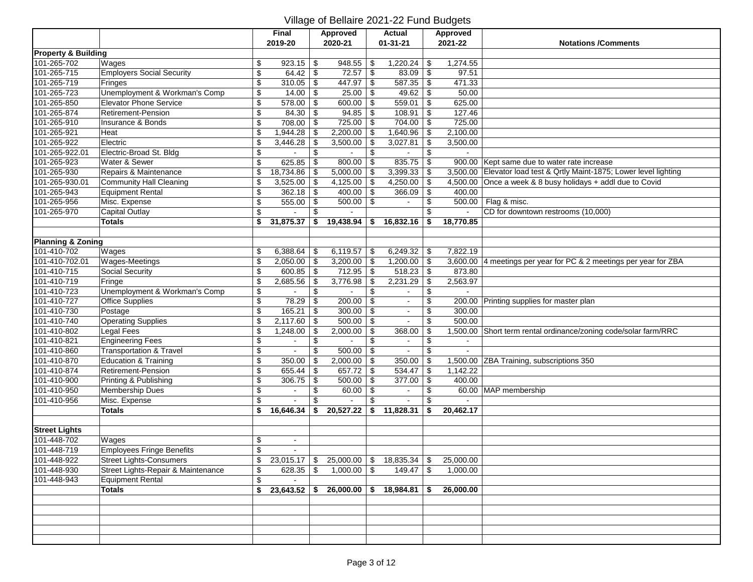|                                |                                          |                           | <b>Final</b>   |           | <b>Approved</b>                          |               | <b>Actual</b>            |                          | Approved  |                                                                      |
|--------------------------------|------------------------------------------|---------------------------|----------------|-----------|------------------------------------------|---------------|--------------------------|--------------------------|-----------|----------------------------------------------------------------------|
|                                |                                          |                           | 2019-20        |           | 2020-21                                  |               | $01 - 31 - 21$           |                          | 2021-22   | <b>Notations /Comments</b>                                           |
| <b>Property &amp; Building</b> |                                          |                           |                |           |                                          |               |                          |                          |           |                                                                      |
| 101-265-702                    | Wages                                    | \$                        | 923.15         | \$        | 948.55                                   | \$            | 1,220.24                 | \$                       | 1,274.55  |                                                                      |
| 101-265-715                    | <b>Employers Social Security</b>         | $\,$                      | 64.42          | \$        | $72.57$ \ \ \ \ \                        |               | 83.09                    | $\overline{\mathbf{e}}$  | 97.51     |                                                                      |
| 101-265-719                    | Fringes                                  | $\boldsymbol{\mathsf{S}}$ | 310.05         | \$        | 447.97                                   | \$            | 587.35                   | \$                       | 471.33    |                                                                      |
| 101-265-723                    | Unemployment & Workman's Comp            | $\overline{\mathbf{e}}$   | 14.00          | \$        | 25.00                                    | -\$           | 49.62                    | \$                       | 50.00     |                                                                      |
| 101-265-850                    | <b>Elevator Phone Service</b>            | $\overline{\mathbf{e}}$   | 578.00         | \$        | 600.00                                   | \$            | 559.01                   | \$                       | 625.00    |                                                                      |
| 101-265-874                    | <b>Retirement-Pension</b>                | $\overline{\$}$           | 84.30          | \$        | 94.85                                    | \$            | 108.91                   | \$                       | 127.46    |                                                                      |
| 101-265-910                    | Insurance & Bonds                        | $\sqrt[6]{\frac{1}{2}}$   | 708.00         | \$        | 725.00                                   | \$            | 704.00                   | \$                       | 725.00    |                                                                      |
| 101-265-921                    | Heat                                     | \$                        | 1,944.28       | \$        | 2,200.00                                 | \$            | 1,640.96                 | \$                       | 2,100.00  |                                                                      |
| 101-265-922                    | Electric                                 | \$                        | 3,446.28       |           | 3,500.00                                 | \$            | 3,027.81                 | \$                       | 3,500.00  |                                                                      |
| 101-265-922.01                 | Electric-Broad St. Bldg                  | \$                        |                | \$        | $\blacksquare$                           | \$            |                          | \$                       |           |                                                                      |
| 101-265-923                    | Water & Sewer                            | \$                        | 625.85         | \$        | $800.00$ \$                              |               | 835.75                   | \$                       |           | 900.00 Kept same due to water rate increase                          |
| 101-265-930                    | Repairs & Maintenance                    | \$                        | 18,734.86      | \$        | 5,000.00                                 | \$            | 3,399.33                 | \$                       |           | 3,500.00 Elevator load test & Qrtly Maint-1875; Lower level lighting |
| 101-265-930.01                 | <b>Community Hall Cleaning</b>           | \$                        | 3,525.00       | \$        | 4,125.00                                 | \$            | 4,250.00                 | \$                       |           | 4,500.00 Once a week & 8 busy holidays + addl due to Covid           |
| 101-265-943                    | <b>Equipment Rental</b>                  | $\sqrt{2}$                | 362.18         | \$        | 400.00                                   | $\sqrt[6]{3}$ | 366.09                   | $\sqrt{2}$               | 400.00    |                                                                      |
| 101-265-956                    | Misc. Expense                            | $\,$                      | 555.00         | \$        | $500.00$ \ \$                            |               |                          | \$                       |           | 500.00   Flag & misc.                                                |
| 101-265-970                    | Capital Outlay                           | $\,$                      |                | \$        |                                          |               |                          | \$                       | ä,        | CD for downtown restrooms (10,000)                                   |
|                                | <b>Totals</b>                            | \$                        | 31,875.37      |           | 19,438.94                                | \$            | 16,832.16                | \$                       | 18,770.85 |                                                                      |
|                                |                                          |                           |                |           |                                          |               |                          |                          |           |                                                                      |
| <b>Planning &amp; Zoning</b>   |                                          |                           |                |           |                                          |               |                          |                          |           |                                                                      |
| 101-410-702                    | Wages                                    | \$                        | 6,388.64       | \$        | 6,119.57                                 | \$            | 6,249.32   \$            |                          | 7,822.19  |                                                                      |
| 101-410-702.01                 | Wages-Meetings                           | \$                        | 2,050.00       | \$        | 3,200.00                                 | \$            | $1,200.00$ \ \$          |                          |           | 3,600.00 4 meetings per year for PC & 2 meetings per year for ZBA    |
| 101-410-715                    | <b>Social Security</b>                   | \$                        | 600.85         | \$        | 712.95                                   | \$            | 518.23                   | $\overline{\mathbf{e}}$  | 873.80    |                                                                      |
| 101-410-719                    | Fringe                                   | $\overline{\mathcal{S}}$  | 2,685.56       | \$        | 3,776.98                                 | \$            | 2,231.29                 | $\overline{\mathbf{e}}$  | 2,563.97  |                                                                      |
| 101-410-723                    | <b>Unemployment &amp; Workman's Comp</b> | \$                        |                | \$        |                                          | \$            |                          | \$                       |           |                                                                      |
| 101-410-727                    | <b>Office Supplies</b>                   | $\overline{\$}$           | 78.29          | \$        | $200.00$ \$                              |               | $\sim$                   | \$                       |           | 200.00 Printing supplies for master plan                             |
| 101-410-730                    | Postage                                  | $\overline{\mathcal{L}}$  | 165.21         | \$        | 300.00                                   | \$            | $\blacksquare$           | $\overline{\mathcal{L}}$ | 300.00    |                                                                      |
| 101-410-740                    | <b>Operating Supplies</b>                | $\overline{\mathcal{L}}$  | 2,117.60       | \$        | $500.00$ \ \$                            |               | $\blacksquare$           | \$                       | 500.00    |                                                                      |
| 101-410-802                    | Legal Fees                               | \$                        | 1,248.00       | \$        | 2,000.00                                 | \$            | 368.00                   | \$                       |           | 1,500.00 Short term rental ordinance/zoning code/solar farm/RRC      |
| 101-410-821                    | <b>Engineering Fees</b>                  | \$                        | $\sim$         | \$        |                                          | \$            | $\blacksquare$           | \$                       | $\sim$    |                                                                      |
| 101-410-860                    | <b>Transportation &amp; Travel</b>       | $\overline{\mathbf{e}}$   |                | \$        | 500.00                                   | \$            |                          | \$                       |           |                                                                      |
| 101-410-870                    | <b>Education &amp; Training</b>          | \$                        | 350.00         | \$        | $2,000.00$ \$                            |               | 350.00                   | \$                       |           | 1,500.00 ZBA Training, subscriptions 350                             |
| 101-410-874                    | Retirement-Pension                       | \$                        | 655.44         | \$        | 657.72                                   | \$            | 534.47                   | \$                       | 1,142.22  |                                                                      |
| 101-410-900                    | Printing & Publishing                    | $\sqrt[6]{\frac{1}{2}}$   | 306.75         | \$        | 500.00                                   | \$            | 377.00                   | \$                       | 400.00    |                                                                      |
| 101-410-950                    | Membership Dues                          | $\,$                      |                | \$        | 60.00                                    | \$            |                          | \$                       |           | 60.00 MAP membership                                                 |
| 101-410-956                    | Misc. Expense                            | \$                        |                | \$        |                                          | \$            | L.                       | \$                       |           |                                                                      |
|                                | <b>Totals</b>                            | \$                        | 16,646.34      |           | 20,527.22                                | $\mathbf{s}$  | 11,828.31                | \$                       | 20,462.17 |                                                                      |
|                                |                                          |                           |                |           |                                          |               |                          |                          |           |                                                                      |
| <b>Street Lights</b>           |                                          |                           |                |           |                                          |               |                          |                          |           |                                                                      |
| 101-448-702                    | Wages                                    | \$                        | $\blacksquare$ |           |                                          |               |                          |                          |           |                                                                      |
| 101-448-719                    | <b>Employees Fringe Benefits</b>         | \$                        |                |           |                                          |               |                          |                          |           |                                                                      |
| 101-448-922                    | <b>Street Lights-Consumers</b>           | \$                        |                |           | $23,015.17$ \$ 25,000.00 \$ 18,835.34 \$ |               |                          |                          | 25,000.00 |                                                                      |
| 101-448-930                    | Street Lights-Repair & Maintenance       | \$                        | 628.35         | <b>\$</b> | $1,000.00$ \ \$                          |               |                          |                          | 1,000.00  |                                                                      |
| 101-448-943                    | <b>Equipment Rental</b>                  | $\,$                      |                |           |                                          |               |                          |                          |           |                                                                      |
|                                | <b>Totals</b>                            | \$                        | 23,643.52      | \$        |                                          |               | $26,000.00$ \$ 18,984.81 | \$                       | 26,000.00 |                                                                      |
|                                |                                          |                           |                |           |                                          |               |                          |                          |           |                                                                      |
|                                |                                          |                           |                |           |                                          |               |                          |                          |           |                                                                      |
|                                |                                          |                           |                |           |                                          |               |                          |                          |           |                                                                      |
|                                |                                          |                           |                |           |                                          |               |                          |                          |           |                                                                      |
|                                |                                          |                           |                |           |                                          |               |                          |                          |           |                                                                      |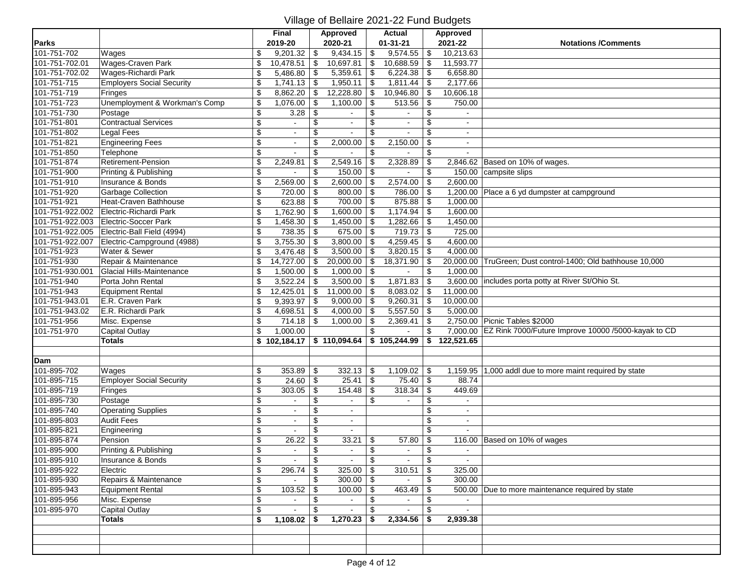|                 |                                  |                          | Final                             |                          | <b>Approved</b> |                      | Actual         | Approved                    |                                                              |
|-----------------|----------------------------------|--------------------------|-----------------------------------|--------------------------|-----------------|----------------------|----------------|-----------------------------|--------------------------------------------------------------|
| Parks           |                                  |                          | 2019-20                           |                          | 2020-21         |                      | $01 - 31 - 21$ | 2021-22                     | <b>Notations /Comments</b>                                   |
| 101-751-702     | Wages                            | \$                       | $9,201.32$ \$                     |                          | 9,434.15        | l \$                 | 9,574.55       | \$<br>10,213.63             |                                                              |
| 101-751-702.01  | <b>Wages-Craven Park</b>         | \$                       | $10,478.51$ \$                    |                          | 10,697.81       | -\$                  | 10,688.59      | \$<br>11,593.77             |                                                              |
| 101-751-702.02  | Wages-Richardi Park              | \$                       | $5,486.80$ \\$                    |                          | 5,359.61        | -\$                  | 6,224.38       | \$<br>6,658.80              |                                                              |
| 101-751-715     | <b>Employers Social Security</b> | \$                       | $1,741.13$ \\$                    |                          | 1,950.11        | -\$                  | 1,811.44       | \$<br>2,177.66              |                                                              |
| 101-751-719     | Fringes                          | \$                       | $8,862.20$ \$                     |                          | 12,228.80       | -\$                  | 10,946.80      | \$<br>10,606.18             |                                                              |
| 101-751-723     | Unemployment & Workman's Comp    | \$                       | $1,076.00$ \ \$                   |                          | 1,100.00        | -\$                  | 513.56         | \$<br>750.00                |                                                              |
| 101-751-730     | Postage                          | \$                       | 3.28                              | $\overline{\mathcal{L}}$ | $\sim$          | \$                   | $\sim$         | \$<br>$\sim$                |                                                              |
| 101-751-801     | Contractual Services             | $\overline{\$}$          |                                   | $\overline{\mathcal{L}}$ |                 | \$                   |                | \$<br>$\blacksquare$        |                                                              |
| 101-751-802     | Legal Fees                       | \$                       | $\sim$                            | \$                       |                 | \$                   | $\mathbf{r}$   | \$<br>$\sim$                |                                                              |
| 101-751-821     | <b>Engineering Fees</b>          | \$                       | $\blacksquare$                    | \$                       | 2,000.00        |                      | 2,150.00       | \$<br>$\sim$                |                                                              |
| 101-751-850     | Telephone                        | \$                       | $\sim$                            | \$                       |                 | \$                   |                | \$<br>$\sim$                |                                                              |
| 101-751-874     | Retirement-Pension               | \$                       | 2,249.81                          | \$                       | 2,549.16        | -\$                  | 2,328.89       | \$                          | 2,846.62 Based on 10% of wages.                              |
| 101-751-900     | Printing & Publishing            | $\overline{\$}$          |                                   | \$                       | $150.00$ \ \$   |                      |                | \$                          | 150.00 campsite slips                                        |
| 101-751-910     | Insurance & Bonds                | \$                       | 2,569.00                          | \$                       | 2,600.00        | $\vert$ \$           | 2,574.00       | \$<br>2,600.00              |                                                              |
| 101-751-920     | Garbage Collection               | \$                       | $720.00$ \$                       |                          | 800.00          | $\vert$ \$           | 786.00         | \$                          | 1,200.00 Place a 6 yd dumpster at campground                 |
| 101-751-921     | Heat-Craven Bathhouse            | \$                       |                                   |                          | $700.00$ \ \$   |                      | 875.88         | \$<br>1,000.00              |                                                              |
| 101-751-922.002 | Electric-Richardi Park           | \$                       | $1,762.90$ \\$                    |                          | 1,600.00        | l \$                 | 1,174.94       | \$<br>1,600.00              |                                                              |
| 101-751-922.003 | Electric-Soccer Park             | \$                       | $1,458.30$ \\$                    |                          | 1,450.00        | -\$                  | 1,282.66       | \$<br>1,450.00              |                                                              |
| 101-751-922.005 | Electric-Ball Field (4994)       | \$                       |                                   |                          | $675.00$ \$     |                      | 719.73         | \$<br>725.00                |                                                              |
| 101-751-922.007 | Electric-Campground (4988)       | \$                       | $3,755.30$ \$                     |                          | 3,800.00        | \$                   | 4,259.45       | \$<br>4,600.00              |                                                              |
| 101-751-923     | Water & Sewer                    | \$                       | $3,476.48$ \\$                    |                          | 3,500.00        | \$                   | 3,820.15       | \$<br>4,000.00              |                                                              |
| 101-751-930     | Repair & Maintenance             | \$                       | $14,727.00$ \$                    |                          | 20,000.00       | -\$                  | 18,371.90      | \$<br>20,000.00             | TruGreen; Dust control-1400; Old bathhouse 10,000            |
| 101-751-930.001 | Glacial Hills-Maintenance        | \$                       | $1,500.00$ \$                     |                          | $1,000.00$ \$   |                      |                | \$<br>1,000.00              |                                                              |
| 101-751-940     | Porta John Rental                | \$                       |                                   |                          | $3,500.00$ \$   |                      | 1,871.83       | \$                          | 3,600.00 includes porta potty at River St/Ohio St.           |
| 101-751-943     | Equipment Rental                 | \$                       | $12,425.01$ \\$                   |                          | $11,000.00$ \$  |                      | 8,083.02       | \$<br>11,000.00             |                                                              |
| 101-751-943.01  | E.R. Craven Park                 | \$                       | $9,393.97$ \$                     |                          | $9,000.00$ \$   |                      | 9,260.31       | \$<br>10,000.00             |                                                              |
| 101-751-943.02  | E.R. Richardi Park               | \$                       | 4,698.51 $\vert$ \$               |                          | 4,000.00        | \$                   | 5,557.50       | \$<br>5,000.00              |                                                              |
| 101-751-956     | Misc. Expense                    | \$                       | $714.18$ \\$                      |                          | 1,000.00        | \$                   | 2,369.41       | \$                          | 2,750.00 Picnic Tables \$2000                                |
| 101-751-970     | Capital Outlay                   | \$                       | 1,000.00                          |                          |                 | \$                   |                | \$                          | 7,000.00 EZ Rink 7000/Future Improve 10000 /5000-kayak to CD |
|                 | <b>Totals</b>                    |                          | $$102,184.17 \;   \; $110,094.64$ |                          |                 |                      | \$105,244.99   | \$122,521.65                |                                                              |
|                 |                                  |                          |                                   |                          |                 |                      |                |                             |                                                              |
| Dam             |                                  |                          |                                   |                          |                 |                      |                |                             |                                                              |
| 101-895-702     | Wages                            | \$                       | $353.89$ \\$                      |                          | 332.13          | -\$                  | 1,109.02       | \$<br>$\overline{1,}159.95$ | 1,000 addl due to more maint required by state               |
| 101-895-715     | <b>Employer Social Security</b>  | \$                       | $24.60$ \$                        |                          | $25.41$ \$      |                      | 75.40          | \$<br>88.74                 |                                                              |
| 101-895-719     | Fringes                          | \$                       | 303.05                            | \$                       | 154.48          | \$                   | 318.34         | \$<br>449.69                |                                                              |
| 101-895-730     | Postage                          | \$                       | $\sim$                            | \$                       |                 | \$                   |                | \$<br>$\sim$                |                                                              |
| 101-895-740     | <b>Operating Supplies</b>        | \$                       | $\blacksquare$                    | \$                       |                 |                      |                | \$<br>$\sim$                |                                                              |
| 101-895-803     | <b>Audit Fees</b>                | $\overline{\mathbf{e}}$  | $\omega$                          | \$                       | $\blacksquare$  |                      |                | \$<br>$\sim$                |                                                              |
| 101-895-821     | Engineering                      | $\overline{\mathcal{E}}$ |                                   | \$                       |                 |                      |                | \$                          |                                                              |
| 101-895-874     | Pension                          | $\overline{\$}$          | 26.22                             | \$                       | 33.21           | \$                   | 57.80          | \$                          | 116.00 Based on 10% of wages                                 |
| 101-895-900     | Printing & Publishing            | \$                       | $\sim$                            | \$                       |                 | \$                   |                | \$                          |                                                              |
| 101-895-910     | Insurance & Bonds                | \$                       | $\sim$                            | $\,$                     | $\sim$          | $\overline{\bullet}$ | $\sim$         | \$<br>$\sim$                |                                                              |
| 101-895-922     | Electric                         | \$                       | $296.74$ \\$                      |                          | $325.00$ \$     |                      | 310.51         | \$<br>325.00                |                                                              |
| 101-895-930     | Repairs & Maintenance            | \$                       | $\sim$                            | \$                       | $300.00$ \ \$   |                      | $\bullet$      | \$<br>300.00                |                                                              |
| 101-895-943     | Equipment Rental                 | \$                       |                                   |                          | $100.00$ \ \$   |                      | 463.49         | \$                          | 500.00 Due to more maintenance required by state             |
| 101-895-956     | Misc. Expense                    | \$                       | $\sim$                            | \$                       | $\bullet$ .     | \$                   | $\sim$         | \$                          |                                                              |
| 101-895-970     | Capital Outlay                   | \$                       | $\blacksquare$                    | \$                       | $\mathbf{r}$    | \$                   | $\sim$         | \$<br>$\mathbf{a}^{\prime}$ |                                                              |
|                 | <b>Totals</b>                    | \$                       | $1,108.02$ \$                     |                          | 1,270.23        | -\$                  | $2,334.56$ \$  | 2,939.38                    |                                                              |
|                 |                                  |                          |                                   |                          |                 |                      |                |                             |                                                              |
|                 |                                  |                          |                                   |                          |                 |                      |                |                             |                                                              |
|                 |                                  |                          |                                   |                          |                 |                      |                |                             |                                                              |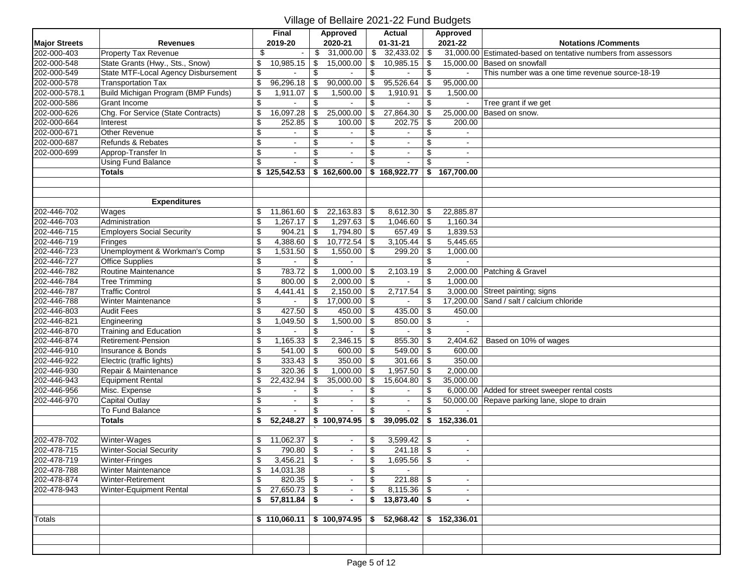|                      |                                           |                          | Final          |     | Approved                 |     | <b>Actual</b>           |     | Approved     |                                                               |
|----------------------|-------------------------------------------|--------------------------|----------------|-----|--------------------------|-----|-------------------------|-----|--------------|---------------------------------------------------------------|
| <b>Major Streets</b> | <b>Revenues</b>                           |                          | 2019-20        |     | 2020-21                  |     | $01 - 31 - 21$          |     | 2021-22      | <b>Notations /Comments</b>                                    |
| 202-000-403          | Property Tax Revenue                      | \$                       | $\sim$         | \$  | 31,000.00                |     | $\frac{1}{2}$ 32,433.02 | -\$ |              | 31,000.00 Estimated-based on tentative numbers from assessors |
| 202-000-548          | State Grants (Hwy., Sts., Snow)           | \$                       | 10,985.15      | \$  | 15,000.00                | \$  | 10,985.15               | \$  | 15,000.00    | Based on snowfall                                             |
| 202-000-549          | State MTF-Local Agency Disbursement       | \$                       |                | \$  |                          | \$  |                         | \$  | $\sim$       | This number was a one time revenue source-18-19               |
| 202-000-578          | <b>Transportation Tax</b>                 | $\overline{\mathcal{G}}$ | 96,296.18      | \$  | 90,000.00                | \$  | 95,526.64               | \$  | 95,000.00    |                                                               |
| 202-000-578.1        | <b>Build Michigan Program (BMP Funds)</b> | \$                       | 1,911.07       | \$  | 1,500.00                 | \$  | 1,910.91                | \$  | 1,500.00     |                                                               |
| 202-000-586          | Grant Income                              | $\overline{\mathcal{E}}$ |                | \$  |                          | \$  |                         | \$  | ä,           | Tree grant if we get                                          |
| 202-000-626          | Chg. For Service (State Contracts)        | \$                       | 16,097.28      | \$  | 25,000.00                | \$  | 27,864.30               | \$  | 25,000.00    | Based on snow.                                                |
| 202-000-664          | Interest                                  | $\overline{\mathcal{L}}$ | 252.85         | \$  | 100.00                   | \$  | 202.75                  | \$  | 200.00       |                                                               |
| 202-000-671          | Other Revenue                             | \$                       | $\blacksquare$ | \$  | $\sim$                   | \$  |                         | \$  | $\sim$       |                                                               |
| 202-000-687          | Refunds & Rebates                         | $\overline{\mathbf{e}}$  | $\blacksquare$ | \$  |                          | \$  |                         | \$  |              |                                                               |
| 202-000-699          | Approp-Transfer In                        | $\overline{\mathbf{e}}$  | $\blacksquare$ | \$  | $\sim$                   | \$  | $\sim$                  | \$  | $\sim$       |                                                               |
|                      | <b>Using Fund Balance</b>                 | \$                       |                | \$. |                          |     |                         | \$  |              |                                                               |
|                      | <b>Totals</b>                             |                          | \$125,542.53   |     | \$162,600.00             |     | \$168,922.77            |     | \$167,700.00 |                                                               |
|                      |                                           |                          |                |     |                          |     |                         |     |              |                                                               |
|                      |                                           |                          |                |     |                          |     |                         |     |              |                                                               |
|                      | <b>Expenditures</b>                       |                          |                |     |                          |     |                         |     |              |                                                               |
| 202-446-702          | Wages                                     | \$                       | 11,861.60      | \$  | 22,163.83                | -\$ | 8,612.30                | \$  | 22,885.87    |                                                               |
| 202-446-703          | Administration                            | \$                       | 1,267.17       | \$  | 1,297.63                 | \$  | 1,046.60                | \$  | 1,160.34     |                                                               |
| 202-446-715          | <b>Employers Social Security</b>          | \$                       | 904.21         | \$  | 1,794.80                 | -\$ | 657.49                  | \$  | 1,839.53     |                                                               |
| 202-446-719          | Fringes                                   | \$                       | 4,388.60       | \$  | 10,772.54                | \$  | 3,105.44                | \$  | 5,445.65     |                                                               |
| 202-446-723          | Unemployment & Workman's Comp             | \$                       | 1,531.50       | -\$ | 1,550.00                 | \$  | 299.20                  | \$  | 1,000.00     |                                                               |
| 202-446-727          | <b>Office Supplies</b>                    | \$                       |                | \$  | $\sim$                   |     |                         | \$  | $\sim$       |                                                               |
| 202-446-782          | Routine Maintenance                       | $\overline{\mathcal{S}}$ | 783.72         | -\$ | 1,000.00                 | \$  | 2,103.19                | \$  |              | 2,000.00 Patching & Gravel                                    |
| 202-446-784          | <b>Tree Trimming</b>                      | $\overline{\mathbf{e}}$  | 800.00         | \$  | 2,000.00                 | \$  |                         | \$  | 1,000.00     |                                                               |
| 202-446-787          | <b>Traffic Control</b>                    | \$                       | 4,441.41       |     | 2,150.00                 |     | 2,717.54                | \$  |              | 3,000.00 Street painting; signs                               |
| 202-446-788          | <b>Winter Maintenance</b>                 | \$                       | $\mathbf{r}$   | \$  | 17,000.00                | 5   | $\sim$                  | \$  |              | 17,200.00 Sand / salt / calcium chloride                      |
| 202-446-803          | <b>Audit Fees</b>                         | $\overline{\$}$          | 427.50         | \$  | 450.00                   | \$  | 435.00                  | \$  | 450.00       |                                                               |
| 202-446-821          | Engineering                               | \$                       | 1,049.50       | \$  | 1,500.00                 | \$  | 850.00                  | \$  | $\sim$       |                                                               |
| 202-446-870          | Training and Education                    | \$                       |                | \$  |                          | \$  |                         | \$  |              |                                                               |
| 202-446-874          | <b>Retirement-Pension</b>                 | \$                       | 1,165.33       | \$  | 2,346.15                 | \$  | 855.30                  | \$  |              | 2,404.62   Based on 10% of wages                              |
| 202-446-910          | Insurance & Bonds                         | \$                       | 541.00         | \$  | 600.00                   | \$  | 549.00                  | \$  | 600.00       |                                                               |
| 202-446-922          | Electric (traffic lights)                 | $\overline{\mathbf{e}}$  | 333.43         | \$  | 350.00                   | \$  | 301.66                  | \$  | 350.00       |                                                               |
| 202-446-930          | Repair & Maintenance                      | $\overline{\$}$          | 320.36         | \$  | 1,000.00                 |     | 1,957.50                | \$  | 2,000.00     |                                                               |
| 202-446-943          | <b>Equipment Rental</b>                   | \$                       | 22,432.94      | \$  | 35,000.00                | \$  | 15,604.80               | \$  | 35,000.00    |                                                               |
| 202-446-956          | Misc. Expense                             | \$                       |                | \$  |                          |     |                         | \$  |              | 6,000.00 Added for street sweeper rental costs                |
| 202-446-970          | <b>Capital Outlay</b>                     | \$                       | $\blacksquare$ | \$  | $\sim$                   | \$  | $\blacksquare$          | \$  |              | 50,000.00 Repave parking lane, slope to drain                 |
|                      | To Fund Balance                           | \$                       |                | \$  |                          |     |                         | \$  |              |                                                               |
|                      | Totals                                    | \$                       | 52,248.27      |     | \$100,974.95             | \$  | 39,095.02               |     | \$152,336.01 |                                                               |
|                      |                                           |                          |                |     |                          |     |                         |     |              |                                                               |
| 202-478-702          | Winter-Wages                              | \$                       | 11,062.37      | \$  | $\sim$                   |     | $3,599.42$ \\$          |     | $\sim$       |                                                               |
| 202-478-715          | <b>Winter-Social Security</b>             | \$                       | 790.80         | \$  | $\sim$                   | \$  | $241.18$ \\$            |     |              |                                                               |
| 202-478-719          | Winter-Fringes                            | \$                       | $3,456.21$ \$  |     |                          | \$  | $1,695.56$ \$           |     |              |                                                               |
| 202-478-788          | Winter Maintenance                        | \$                       | 14,031.38      |     |                          | \$  |                         |     |              |                                                               |
| 202-478-874          | Winter-Retirement                         | \$                       | $820.35$ \$    |     | $\sim$                   | \$  |                         |     | $\sim$       |                                                               |
| 202-478-943          | Winter-Equipment Rental                   | \$                       | $27,650.73$ \$ |     | $\blacksquare$           | \$  |                         |     | $\sim$       |                                                               |
|                      |                                           |                          | $57,811.84$ \$ |     | $\overline{\phantom{a}}$ |     | $13,873.40$ \$          |     |              |                                                               |
|                      |                                           |                          |                |     |                          |     |                         |     |              |                                                               |
| <b>Totals</b>        |                                           |                          | \$110,060.11   |     | \$100,974.95             | \$  | 52,968.42               |     | \$152,336.01 |                                                               |
|                      |                                           |                          |                |     |                          |     |                         |     |              |                                                               |
|                      |                                           |                          |                |     |                          |     |                         |     |              |                                                               |
|                      |                                           |                          |                |     |                          |     |                         |     |              |                                                               |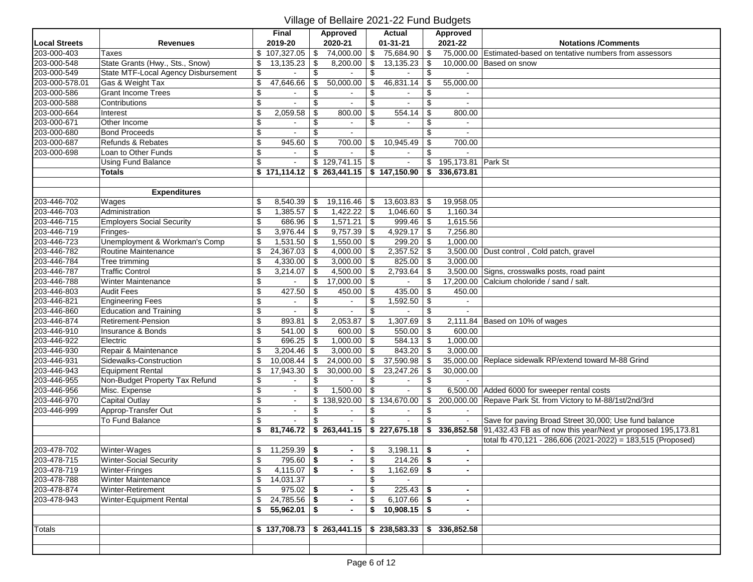|                      |                                     |                          | <b>Final</b>   |     | Approved                    |    | <b>Actual</b>  | Approved         |                                                                         |
|----------------------|-------------------------------------|--------------------------|----------------|-----|-----------------------------|----|----------------|------------------|-------------------------------------------------------------------------|
| <b>Local Streets</b> | <b>Revenues</b>                     |                          | 2019-20        |     | 2020-21                     |    | $01 - 31 - 21$ | 2021-22          | <b>Notations /Comments</b>                                              |
| 203-000-403          | <b>Taxes</b>                        |                          | \$107,327.05   | \$  | 74,000.00                   | \$ | 75,684.90      | \$<br>75,000.00  | Estimated-based on tentative numbers from assessors                     |
| 203-000-548          | State Grants (Hwy., Sts., Snow)     | \$                       | 13,135.23      |     | 8,200.00                    | \$ | 13,135.23      | \$               | 10.000.00 Based on snow                                                 |
| 203-000-549          | State MTF-Local Agency Disbursement | \$                       |                | \$  |                             | \$ |                | \$               |                                                                         |
| 203-000-578.01       | Gas & Weight Tax                    | \$                       | 47,646.66      | \$  | 50,000.00                   | \$ | 46,831.14      | \$<br>55,000.00  |                                                                         |
| 203-000-586          | <b>Grant Income Trees</b>           | \$                       |                | \$  |                             | \$ |                | \$<br>$\sim$     |                                                                         |
| 203-000-588          | Contributions                       | $\overline{\mathcal{G}}$ |                | \$  |                             | \$ |                | \$<br>$\sim$     |                                                                         |
| 203-000-664          | Interest                            | \$                       | 2,059.58       | \$  | 800.00                      | \$ | 554.14         | \$<br>800.00     |                                                                         |
| 203-000-671          | Other Income                        | \$                       |                | \$  |                             | \$ |                | \$               |                                                                         |
| 203-000-680          | <b>Bond Proceeds</b>                | \$                       |                | \$  | $\sim$                      |    |                | \$<br>$\sim$     |                                                                         |
| 203-000-687          | Refunds & Rebates                   | \$                       | 945.60         | \$  | 700.00                      | S  | 10,945.49      | \$<br>700.00     |                                                                         |
| 203-000-698          | Loan to Other Funds                 | $\overline{\mathcal{G}}$ | $\mathbf{r}$   | \$  | $\sim$                      | \$ |                | \$               |                                                                         |
|                      | <b>Using Fund Balance</b>           | \$                       |                |     | \$129,741.15                | \$ |                | \$<br>195,173.81 | Park St                                                                 |
|                      | <b>Totals</b>                       |                          | \$171,114.12   |     | $$263,441.15$ $$147,150.90$ |    |                | \$<br>336,673.81 |                                                                         |
|                      |                                     |                          |                |     |                             |    |                |                  |                                                                         |
|                      | <b>Expenditures</b>                 |                          |                |     |                             |    |                |                  |                                                                         |
| 203-446-702          | Wages                               | \$                       | 8,540.39       | \$  | 19,116.46                   | \$ | 13,603.83      | \$<br>19,958.05  |                                                                         |
| 203-446-703          | Administration                      | \$                       | 1,385.57       | -\$ | 1,422.22                    | \$ | 1,046.60       | \$<br>1,160.34   |                                                                         |
| 203-446-715          | <b>Employers Social Security</b>    | \$                       | 686.96         | \$  | 1,571.21                    | \$ | 999.46         | \$<br>1,615.56   |                                                                         |
| 203-446-719          | Fringes-                            | \$                       | 3,976.44       | \$  | 9,757.39                    | \$ | 4,929.17       | \$<br>7,256.80   |                                                                         |
| 203-446-723          | Unemployment & Workman's Comp       | \$                       | 1,531.50       | \$  | 1,550.00                    | \$ | 299.20         | \$<br>1,000.00   |                                                                         |
| 203-446-782          | Routine Maintenance                 | \$                       | 24,367.03      | -\$ | 4,000.00                    | \$ | 2,357.52       | \$               | 3,500.00 Dust control, Cold patch, gravel                               |
| 203-446-784          | Tree trimming                       | \$                       | 4,330.00       | \$  | 3,000.00                    | \$ | 825.00         | \$<br>3,000.00   |                                                                         |
| 203-446-787          | <b>Traffic Control</b>              | \$                       | 3,214.07       | \$  | 4,500.00                    | \$ | 2,793.64       | \$               | 3,500.00 Signs, crosswalks posts, road paint                            |
| 203-446-788          | Winter Maintenance                  | \$                       |                | \$  | 17,000.00                   | \$ |                | \$<br>17,200.00  | Calcium choloride / sand / salt.                                        |
| 203-446-803          | <b>Audit Fees</b>                   | \$                       | 427.50         | -\$ | 450.00                      | \$ | 435.00         | \$<br>450.00     |                                                                         |
| 203-446-821          | <b>Engineering Fees</b>             | \$                       | $\blacksquare$ | \$  | $\sim$                      | \$ | 1,592.50       | \$<br>$\sim$     |                                                                         |
| 203-446-860          | <b>Education and Training</b>       | \$                       |                |     |                             |    |                | \$               |                                                                         |
| 203-446-874          | <b>Retirement-Pension</b>           | \$                       | 893.81         | \$  | 2,053.87                    | \$ | 1,307.69       | \$<br>2,111.84   | Based on 10% of wages                                                   |
| 203-446-910          | Insurance & Bonds                   | \$                       | 541.00         | \$  | 600.00                      | \$ | 550.00         | \$<br>600.00     |                                                                         |
| 203-446-922          | Electric                            | $\overline{\mathcal{G}}$ | 696.25         | \$  | 1,000.00                    | \$ | 584.13         | \$<br>1,000.00   |                                                                         |
| 203-446-930          | Repair & Maintenance                | \$                       | 3,204.46       | \$  | 3,000.00                    | \$ | 843.20         | \$<br>3,000.00   |                                                                         |
| 203-446-931          | Sidewalks-Construction              | \$                       | 10,008.44      | \$  | 24,000.00                   | \$ | 37,590.98      | \$               | 35,000.00 Replace sidewalk RP/extend toward M-88 Grind                  |
| 203-446-943          | <b>Equipment Rental</b>             | \$                       | 17,943.30      | \$  | 30,000.00                   | \$ | 23,247.26      | \$<br>30,000.00  |                                                                         |
| 203-446-955          | Non-Budget Property Tax Refund      | \$                       | $\blacksquare$ | \$  | $\sim$                      | \$ | $\sim$         | \$<br>$\sim$     |                                                                         |
| 203-446-956          | Misc. Expense                       | \$                       | $\blacksquare$ |     | 1,500.00                    | \$ |                | \$               | 6,500.00 Added 6000 for sweeper rental costs                            |
| 203-446-970          | <b>Capital Outlay</b>               | $\overline{\mathcal{G}}$ | $\sim$         | \$  | 138.920.00                  |    | \$134,670.00   | \$               | 200,000.00 Repave Park St. from Victory to M-88/1st/2nd/3rd             |
| 203-446-999          | Approp-Transfer Out                 | $\overline{\mathcal{G}}$ | $\blacksquare$ | \$  | $\blacksquare$              | \$ |                | \$               |                                                                         |
|                      | To Fund Balance                     | \$                       | $\overline{a}$ | \$  | $\sim$                      | \$ | $\mathbf{r}$   | \$<br>$\sim$     | Save for paving Broad Street 30,000; Use fund balance                   |
|                      |                                     | \$                       | 81,746.72      |     | \$263,441.15                |    | \$227,675.18   | \$               | 336,852.58 91,432.43 FB as of now this year/Next yr proposed 195,173.81 |
|                      |                                     |                          |                |     |                             |    |                |                  | total fb 470,121 - 286,606 (2021-2022) = 183,515 (Proposed)             |
| 203-478-702          | Winter-Wages                        | \$                       | 11,259.39   \$ |     |                             | \$ | $3,198.11$ \$  |                  |                                                                         |
| 203-478-715          | <b>Winter-Social Security</b>       | \$                       | $795.60$ \$    |     | $\blacksquare$              | \$ | $214.26$ \$    | $\blacksquare$   |                                                                         |
| 203-478-719          | Winter-Fringes                      | \$                       | $4,115.07$ \$  |     |                             | \$ | $1,162.69$ \$  |                  |                                                                         |
| 203-478-788          | <b>Winter Maintenance</b>           | \$                       | 14,031.37      |     |                             | \$ |                |                  |                                                                         |
| 203-478-874          | Winter-Retirement                   | \$                       | $975.02$ \$    |     | $\blacksquare$              | \$ | $225.43$ \\$   | $\blacksquare$   |                                                                         |
| 203-478-943          | Winter-Equipment Rental             | \$                       | $24,785.56$ \$ |     | $\blacksquare$              | \$ | $6,107.66$ \$  | $\blacksquare$   |                                                                         |
|                      |                                     | \$                       | $55,962.01$ \$ |     | $\blacksquare$              | \$ | $10,908.15$ \$ | $\blacksquare$   |                                                                         |
|                      |                                     |                          |                |     |                             |    |                |                  |                                                                         |
| <b>Totals</b>        |                                     |                          | \$137,708.73   |     | \$263,441.15                |    | \$238,583.33   | \$<br>336,852.58 |                                                                         |
|                      |                                     |                          |                |     |                             |    |                |                  |                                                                         |
|                      |                                     |                          |                |     |                             |    |                |                  |                                                                         |
|                      |                                     |                          |                |     |                             |    |                |                  |                                                                         |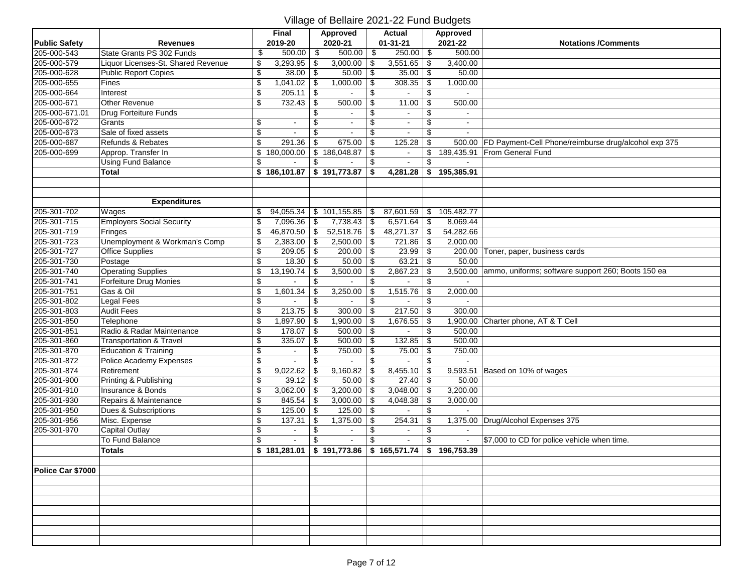|                      |                                    |                           | Final        |      | Approved       | Actual                    |              | <b>Approved</b> |                                                             |
|----------------------|------------------------------------|---------------------------|--------------|------|----------------|---------------------------|--------------|-----------------|-------------------------------------------------------------|
| <b>Public Safety</b> | Revenues                           |                           | 2019-20      |      | 2020-21        | $01 - 31 - 21$            |              | 2021-22         | <b>Notations /Comments</b>                                  |
| 205-000-543          | State Grants PS 302 Funds          | \$                        | 500.00       | \$   | 500.00         | \$<br>250.00              | \$           | 500.00          |                                                             |
| 205-000-579          | Liquor Licenses-St. Shared Revenue | \$                        | 3,293.95     | \$   | 3,000.00       | \$<br>3,551.65            | \$           | 3,400.00        |                                                             |
| 205-000-628          | <b>Public Report Copies</b>        | \$                        | 38.00        | l \$ | 50.00          | \$<br>35.00               | \$           | 50.00           |                                                             |
| 205-000-655          | Fines                              | \$                        | 1,041.02     | -\$  | 1,000.00       | \$<br>308.35              | \$           | 1,000.00        |                                                             |
| 205-000-664          | Interest                           | \$                        | 205.11       | \$   |                | \$                        | \$           |                 |                                                             |
| 205-000-671          | Other Revenue                      | $\overline{\$}$           | 732.43       | \$   | 500.00         | \$<br>11.00               | \$           | 500.00          |                                                             |
| 205-000-671.01       | Drug Forteiture Funds              |                           |              | \$   | $\sim$         | \$<br>$\sim$              | \$           | $\sim$          |                                                             |
| 205-000-672          | Grants                             | \$                        |              | \$   |                | \$<br>$\bar{\phantom{a}}$ | \$           |                 |                                                             |
| 205-000-673          | Sale of fixed assets               | $\sqrt{2}$                |              | \$   | $\mathbf{r}$   | \$<br>$\omega$            | \$           |                 |                                                             |
| 205-000-687          | Refunds & Rebates                  | $\overline{\mathcal{S}}$  | 291.36       | \$   | 675.00         | \$<br>125.28              | \$           |                 | 500.00 FD Payment-Cell Phone/reimburse drug/alcohol exp 375 |
| 205-000-699          | Approp. Transfer In                | \$                        | 180,000.00   |      | \$186,048.87   | \$<br>$\sim$              | \$           |                 | 189,435.91 From General Fund                                |
|                      | <b>Using Fund Balance</b>          | \$                        |              | \$   |                | \$                        | \$           |                 |                                                             |
|                      | <b>Total</b>                       |                           | \$186,101.87 |      | \$191,773.87   | \$<br>4,281.28            | $\mathbf{s}$ | 195,385.91      |                                                             |
|                      |                                    |                           |              |      |                |                           |              |                 |                                                             |
|                      |                                    |                           |              |      |                |                           |              |                 |                                                             |
|                      | <b>Expenditures</b>                |                           |              |      |                |                           |              |                 |                                                             |
| 205-301-702          | Wages                              | \$                        | 94,055.34    |      | \$101,155.85   | \$<br>87,601.59           | \$           | 105,482.77      |                                                             |
| 205-301-715          | <b>Employers Social Security</b>   | $\overline{\mathcal{S}}$  | 7,096.36     | -\$  | 7,738.43       | \$<br>6,571.64            | \$           | 8,069.44        |                                                             |
| 205-301-719          | Fringes                            | \$                        | 46,870.50    | \$   | 52,518.76      | \$<br>48,271.37           | \$           | 54,282.66       |                                                             |
| 205-301-723          | Unemployment & Workman's Comp      | \$                        | 2,383.00     | -\$  | 2,500.00       | \$<br>721.86              | \$           | 2,000.00        |                                                             |
| 205-301-727          | <b>Office Supplies</b>             | $\overline{\mathcal{L}}$  | 209.05       | \$   | 200.00         | \$<br>23.99               | \$           |                 | 200.00 Toner, paper, business cards                         |
| 205-301-730          | Postage                            | $\boldsymbol{\$}$         | 18.30        | - \$ | 50.00          | \$<br>63.21               | \$           | 50.00           |                                                             |
| 205-301-740          | <b>Operating Supplies</b>          | \$                        | 13,190.74    | -\$  | 3,500.00       | \$<br>2,867.23            | \$           |                 | 3,500.00 ammo, uniforms; software support 260; Boots 150 ea |
| 205-301-741          | Forfeiture Drug Monies             | \$                        |              | \$   |                | \$                        | \$           |                 |                                                             |
| 205-301-751          | Gas & Oil                          | \$                        | 1,601.34     |      | 3,250.00       | \$<br>1,515.76            | \$           | 2,000.00        |                                                             |
| 205-301-802          | Legal Fees                         | \$                        |              | \$   |                | \$                        | \$           |                 |                                                             |
| 205-301-803          | <b>Audit Fees</b>                  | $\overline{\mathcal{L}}$  | 213.75       | -\$  | 300.00         | \$<br>217.50              | \$           | 300.00          |                                                             |
| 205-301-850          | Telephone                          | $\overline{\mathcal{L}}$  | 1,897.90     | \$   | 1,900.00       | \$<br>1,676.55            | \$           |                 | 1,900.00 Charter phone, AT & T Cell                         |
| 205-301-851          | Radio & Radar Maintenance          | $\boldsymbol{\mathsf{S}}$ | 178.07       | -\$  | 500.00         | \$                        | \$           | 500.00          |                                                             |
| 205-301-860          | <b>Transportation &amp; Travel</b> | $\overline{\mathcal{S}}$  | 335.07       | \$   | 500.00         | \$<br>132.85              | \$           | 500.00          |                                                             |
| 205-301-870          | <b>Education &amp; Training</b>    | $\overline{\$}$           |              | \$   | 750.00         | \$<br>75.00               | \$           | 750.00          |                                                             |
| 205-301-872          | Police Academy Expenses            | \$                        |              | \$   |                | \$                        | \$           | $\mathbf{r}$    |                                                             |
| 205-301-874          | Retirement                         | \$                        | 9,022.62     |      | 9,160.82       | \$<br>8,455.10            | \$           |                 | 9,593.51 Based on 10% of wages                              |
| 205-301-900          | Printing & Publishing              | \$                        | 39.12        | l \$ | 50.00          | \$<br>27.40               | \$           | 50.00           |                                                             |
| 205-301-910          | Insurance & Bonds                  | $\sqrt[6]{\frac{1}{2}}$   | 3,062.00     | l \$ | 3,200.00       | \$<br>3,048.00            | \$           | 3,200.00        |                                                             |
| 205-301-930          | Repairs & Maintenance              | $\overline{\mathcal{S}}$  | 845.54       | -\$  | 3,000.00       | \$<br>4,048.38            | \$           | 3,000.00        |                                                             |
| 205-301-950          | Dues & Subscriptions               | $\overline{\mathcal{S}}$  | 125.00       | -\$  | 125.00         | \$                        | \$           |                 |                                                             |
| 205-301-956          | Misc. Expense                      | $\overline{\mathcal{S}}$  | 137.31       | -\$  | 1,375.00       | \$<br>254.31              | \$           |                 | 1,375.00 Drug/Alcohol Expenses 375                          |
| 205-301-970          | <b>Capital Outlay</b>              | $\overline{\mathcal{S}}$  |              | \$   |                | \$                        | \$           |                 |                                                             |
|                      | To Fund Balance                    | $\overline{\mathcal{L}}$  |              |      | $\blacksquare$ | \$<br>$\sim$              | \$           | $\sim$          | \$7,000 to CD for police vehicle when time.                 |
|                      | <b>Totals</b>                      | \$                        | 181.281.01   |      | \$191.773.86   | $$165.571.74$ \ \$        |              | 196.753.39      |                                                             |
|                      |                                    |                           |              |      |                |                           |              |                 |                                                             |
| Police Car \$7000    |                                    |                           |              |      |                |                           |              |                 |                                                             |
|                      |                                    |                           |              |      |                |                           |              |                 |                                                             |
|                      |                                    |                           |              |      |                |                           |              |                 |                                                             |
|                      |                                    |                           |              |      |                |                           |              |                 |                                                             |
|                      |                                    |                           |              |      |                |                           |              |                 |                                                             |
|                      |                                    |                           |              |      |                |                           |              |                 |                                                             |
|                      |                                    |                           |              |      |                |                           |              |                 |                                                             |
|                      |                                    |                           |              |      |                |                           |              |                 |                                                             |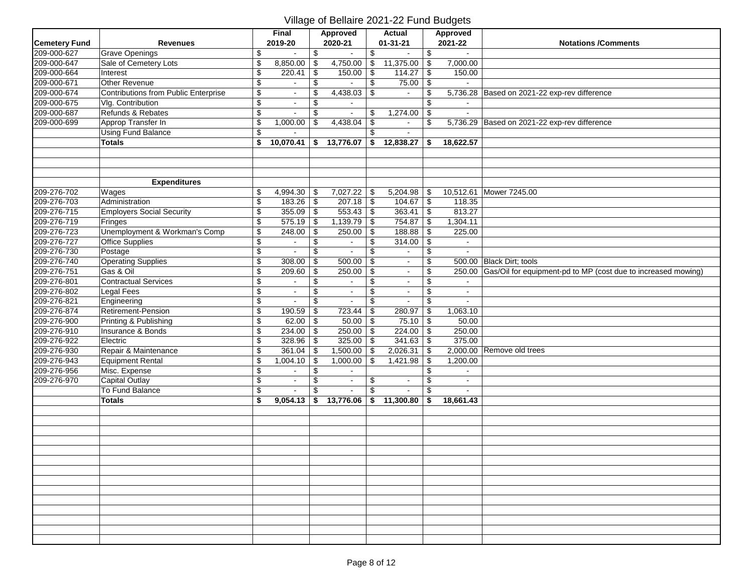|                      |                                      |                           | Final          |                          | <b>Approved</b> |                           | <b>Actual</b>           |                           | Approved              |                                                                      |
|----------------------|--------------------------------------|---------------------------|----------------|--------------------------|-----------------|---------------------------|-------------------------|---------------------------|-----------------------|----------------------------------------------------------------------|
| <b>Cemetery Fund</b> | <b>Revenues</b>                      |                           | 2019-20        |                          | 2020-21         |                           | $01 - 31 - 21$          |                           | 2021-22               | <b>Notations /Comments</b>                                           |
| 209-000-627          | <b>Grave Openings</b>                | \$                        | $\overline{a}$ | \$                       |                 | \$                        |                         | \$                        | $\tilde{\phantom{a}}$ |                                                                      |
| 209-000-647          | Sale of Cemetery Lots                | \$                        | 8,850.00       | \$                       | 4,750.00        | \$                        | 11,375.00               | \$                        | 7,000.00              |                                                                      |
| 209-000-664          | Interest                             | $\boldsymbol{\mathsf{S}}$ | 220.41         | \$                       | 150.00          | $\sqrt{ }$                | 114.27                  | $\boldsymbol{\mathsf{S}}$ | 150.00                |                                                                      |
| 209-000-671          | Other Revenue                        | \$                        |                | \$                       |                 | \$                        | 75.00                   | \$                        |                       |                                                                      |
| 209-000-674          | Contributions from Public Enterprise | \$                        | $\blacksquare$ | \$                       | 4,438.03        | \$                        | $\mathbf{r}$            | \$                        |                       | 5,736.28 Based on 2021-22 exp-rev difference                         |
| 209-000-675          | Vlg. Contribution                    | \$                        | $\blacksquare$ | \$                       |                 |                           |                         | \$                        |                       |                                                                      |
| 209-000-687          | Refunds & Rebates                    | $\overline{\$}$           | $\blacksquare$ | \$                       | $\blacksquare$  | \$                        | 1,274.00                | \$                        | $\sim$                |                                                                      |
| 209-000-699          | Approp Transfer In                   | \$                        | 1,000.00       | \$                       | 4,438.04        | $\boldsymbol{\mathsf{S}}$ |                         | \$                        |                       | 5,736.29 Based on 2021-22 exp-rev difference                         |
|                      | <b>Using Fund Balance</b>            | $$\mathfrak{s}$$          |                |                          |                 | \$                        | $\mathbf{r}$            |                           |                       |                                                                      |
|                      | <b>Totals</b>                        | \$                        | 10,070.41      |                          | \$ 13,776.07    | \$                        | 12,838.27               | \$                        | 18,622.57             |                                                                      |
|                      |                                      |                           |                |                          |                 |                           |                         |                           |                       |                                                                      |
|                      |                                      |                           |                |                          |                 |                           |                         |                           |                       |                                                                      |
|                      |                                      |                           |                |                          |                 |                           |                         |                           |                       |                                                                      |
|                      | <b>Expenditures</b>                  |                           |                |                          |                 |                           |                         |                           |                       |                                                                      |
| 209-276-702          | Wages                                | \$                        | 4,994.30       | \$                       | 7,027.22        | \$                        | 5,204.98                | \$                        |                       | 10,512.61 Mower 7245.00                                              |
| 209-276-703          | Administration                       | $\boldsymbol{\mathsf{S}}$ | $183.26$ \$    |                          | $207.18$ \\$    |                           | 104.67                  | $\overline{\mathbf{3}}$   | 118.35                |                                                                      |
| 209-276-715          | <b>Employers Social Security</b>     | \$                        | $355.09$ \$    |                          | $553.43$ \$     |                           | 363.41                  | $\overline{\mathbf{e}}$   | 813.27                |                                                                      |
| 209-276-719          | Fringes                              | \$                        | $575.19$ \\$   |                          | 1,139.79        | $\overline{\bullet}$      | 754.87                  | \$                        | 1,304.11              |                                                                      |
| 209-276-723          | Unemployment & Workman's Comp        | \$                        | 248.00         | $\overline{\mathbf{S}}$  | 250.00          | $\overline{\mathbf{e}}$   | 188.88                  | \$                        | 225.00                |                                                                      |
| 209-276-727          | <b>Office Supplies</b>               | $\overline{\$}$           | $\blacksquare$ | \$                       | $\sim$          | \$                        | 314.00                  | $\overline{\$}$           | $\blacksquare$        |                                                                      |
| 209-276-730          | Postage                              | $\overline{\$}$           |                | $\overline{\$}$          |                 | $\overline{\$}$           | $\blacksquare$          | $\overline{\$}$           | ä,                    |                                                                      |
| 209-276-740          | <b>Operating Supplies</b>            | $\sqrt[6]{\frac{1}{2}}$   | 308.00         | \$                       | 500.00          | $\sqrt[6]{3}$             | $\blacksquare$          | \$                        |                       | 500.00 Black Dirt; tools                                             |
| 209-276-751          | Gas & Oil                            | $\overline{\mathbf{e}}$   | 209.60         | \$                       | 250.00          | $\boldsymbol{\mathsf{S}}$ |                         | \$                        |                       | 250.00 Gas/Oil for equipment-pd to MP (cost due to increased mowing) |
| 209-276-801          | <b>Contractual Services</b>          | $\overline{\mathbf{e}}$   | $\sim$         | $\overline{\mathcal{G}}$ | $\sim$          | \$                        | $\blacksquare$          | $\boldsymbol{\mathsf{S}}$ | $\sim$                |                                                                      |
| 209-276-802          | <b>Legal Fees</b>                    | \$                        | $\sim$         | \$                       | $\sim$          | \$                        | $\blacksquare$          | \$                        | $\blacksquare$        |                                                                      |
| 209-276-821          | Engineering                          | \$                        | $\sim$         | \$                       | $\bullet$       | \$                        | $\blacksquare$          | \$                        | $\sim$                |                                                                      |
| 209-276-874          | Retirement-Pension                   | $\overline{\$}$           | 190.59         | \$                       | 723.44          | \$                        | 280.97                  | \$                        | 1,063.10              |                                                                      |
| 209-276-900          | Printing & Publishing                | \$                        | 62.00          | \$                       | $50.00$ \$      |                           | 75.10                   | \$                        | 50.00                 |                                                                      |
| 209-276-910          | Insurance & Bonds                    | \$                        | 234.00         | \$                       | 250.00          | $\vert$ \$                | 224.00                  | \$                        | 250.00                |                                                                      |
| 209-276-922          | Electric                             | \$                        | 328.96         | \$                       | $325.00$ \ \$   |                           | 341.63                  | \$                        | 375.00                |                                                                      |
| 209-276-930          | Repair & Maintenance                 | \$                        | 361.04         | \$                       | 1,500.00        | \$                        | 2,026.31                | \$                        |                       | 2,000.00 Remove old trees                                            |
| 209-276-943          | <b>Equipment Rental</b>              | \$                        | 1,004.10       | \$                       | 1,000.00        | \$                        | 1,421.98                | \$                        | 1,200.00              |                                                                      |
| 209-276-956          | Misc. Expense                        | \$                        |                | \$                       |                 |                           |                         | \$                        |                       |                                                                      |
| 209-276-970          | <b>Capital Outlay</b>                | \$                        | $\blacksquare$ | \$                       | $\sim$          | \$                        | $\blacksquare$          | \$                        | $\sim$                |                                                                      |
|                      | To Fund Balance                      | \$                        |                | \$                       |                 | $\mathfrak{S}$            | $\mathbf{r}$            | $\mathfrak{L}$            | ÷.                    |                                                                      |
|                      | <b>Totals</b>                        | \$                        | 9,054.13       |                          | \$ 13,776.06    |                           | $\frac{1}{2}$ 11,300.80 | \$                        | 18,661.43             |                                                                      |
|                      |                                      |                           |                |                          |                 |                           |                         |                           |                       |                                                                      |
|                      |                                      |                           |                |                          |                 |                           |                         |                           |                       |                                                                      |
|                      |                                      |                           |                |                          |                 |                           |                         |                           |                       |                                                                      |
|                      |                                      |                           |                |                          |                 |                           |                         |                           |                       |                                                                      |
|                      |                                      |                           |                |                          |                 |                           |                         |                           |                       |                                                                      |
|                      |                                      |                           |                |                          |                 |                           |                         |                           |                       |                                                                      |
|                      |                                      |                           |                |                          |                 |                           |                         |                           |                       |                                                                      |
|                      |                                      |                           |                |                          |                 |                           |                         |                           |                       |                                                                      |
|                      |                                      |                           |                |                          |                 |                           |                         |                           |                       |                                                                      |
|                      |                                      |                           |                |                          |                 |                           |                         |                           |                       |                                                                      |
|                      |                                      |                           |                |                          |                 |                           |                         |                           |                       |                                                                      |
|                      |                                      |                           |                |                          |                 |                           |                         |                           |                       |                                                                      |
|                      |                                      |                           |                |                          |                 |                           |                         |                           |                       |                                                                      |
|                      |                                      |                           |                |                          |                 |                           |                         |                           |                       |                                                                      |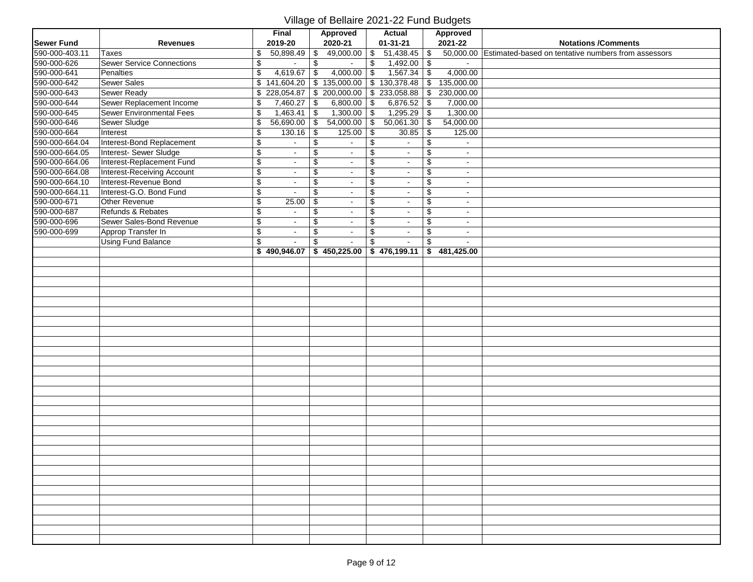|                   |                                  |                          | <b>Final</b>             |                         | <b>Approved</b>          |                           | <b>Actual</b>                        |                                  | <b>Approved</b>             |                                                               |
|-------------------|----------------------------------|--------------------------|--------------------------|-------------------------|--------------------------|---------------------------|--------------------------------------|----------------------------------|-----------------------------|---------------------------------------------------------------|
| <b>Sewer Fund</b> | <b>Revenues</b>                  |                          | 2019-20                  |                         | 2020-21                  |                           | $01 - 31 - 21$                       |                                  | 2021-22                     | <b>Notations /Comments</b>                                    |
| 590-000-403.11    | <b>Taxes</b>                     | \$                       | 50,898.49                | \$                      | $49,000.00$ \$           |                           | 51,438.45                            | $\boldsymbol{\mathsf{S}}$        |                             | 50,000.00 Estimated-based on tentative numbers from assessors |
| 590-000-626       | <b>Sewer Service Connections</b> | $\overline{\mathbf{e}}$  |                          | \$                      | $\blacksquare$           | $\sqrt[6]{\frac{1}{2}}$   | $1,492.00$ \$                        |                                  |                             |                                                               |
| 590-000-641       | Penalties                        | $\overline{\mathcal{S}}$ | 4,619.67                 | \$                      | 4,000.00                 | $\overline{\mathbf{3}}$   | $1,567.34$ \$                        |                                  | 4,000.00                    |                                                               |
| 590-000-642       | Sewer Sales                      | $\overline{\mathbf{S}}$  | 141,604.20               |                         | \$135,000.00             |                           | \$130,378.48                         | $\overline{\$}$                  | 135,000.00                  |                                                               |
| 590-000-643       | Sewer Ready                      | \$                       | 228,054.87               |                         |                          |                           | $\frac{1}{200,000.00}$ \$ 233,058.88 | $\sqrt{5}$                       | 230,000.00                  |                                                               |
| 590-000-644       | Sewer Replacement Income         | \$                       | 7,460.27                 | \$                      | 6,800.00                 | $\boldsymbol{\mathsf{S}}$ | $6,876.52$ \$                        |                                  | 7,000.00                    |                                                               |
| 590-000-645       | <b>Sewer Environmental Fees</b>  | $\overline{\$}$          | $1,463.41$ \\$           |                         | 1,300.00                 | $\overline{\$}$           | $1,295.29$ \$                        |                                  | 1,300.00                    |                                                               |
| 590-000-646       | Sewer Sludge                     | $\overline{\mathcal{S}}$ | 56,690.00                | $\sqrt{3}$              | 54,000.00                | $\overline{\theta}$       | 50,061.30                            | $\overline{\mathcal{L}}$         | 54,000.00                   |                                                               |
| 590-000-664       | Interest                         | $\boldsymbol{\$}$        | 130.16                   | $\overline{\mathbf{3}}$ | $125.00$ \$              |                           | 30.85                                | $\overline{\mathbf{e}}$          | 125.00                      |                                                               |
| 590-000-664.04    | Interest-Bond Replacement        | $\overline{\mathbf{e}}$  | $\blacksquare$           | \$                      | $\blacksquare$           | \$                        | $\blacksquare$                       | $\overline{\boldsymbol{\theta}}$ | $\bullet$                   |                                                               |
| 590-000-664.05    | Interest-Sewer Sludge            | $\overline{\mathcal{G}}$ | $\blacksquare$           | \$                      | $\omega$                 | $\overline{\mathbf{e}}$   | $\omega$                             | $\overline{\mathbf{e}}$          | $\bullet$                   |                                                               |
| 590-000-664.06    | Interest-Replacement Fund        | $\overline{\mathbf{e}}$  | $\blacksquare$           | \$                      | $\overline{\phantom{a}}$ | \$                        | $\omega$                             | $\overline{\$}$                  | $\sim$                      |                                                               |
| 590-000-664.08    | Interest-Receiving Account       | $\overline{\$}$          | $\bullet$                | \$                      | $\bullet$                | $\overline{\$}$           | $\sim$                               | $\overline{\$}$                  | $\sim$                      |                                                               |
| 590-000-664.10    | Interest-Revenue Bond            | $\overline{\mathcal{L}}$ | $\sim$                   | \$                      | $\blacksquare$           | \$                        | $\blacksquare$                       | \$                               | $\blacksquare$              |                                                               |
| 590-000-664.11    | Interest-G.O. Bond Fund          | $\sqrt{2}$               | $\sim$                   | $\sqrt[6]{\frac{1}{2}}$ | $\blacksquare$           | $\sqrt[6]{3}$             | $\mathbf{r}$                         | $\sqrt[6]{3}$                    | $\sim$                      |                                                               |
| 590-000-671       | Other Revenue                    | $\overline{\mathcal{S}}$ | 25.00                    | \$                      | $\blacksquare$           | \$                        | $\blacksquare$                       | $\overline{\mathbf{e}}$          | $\sim$                      |                                                               |
| 590-000-687       | Refunds & Rebates                | $\overline{\mathbf{e}}$  | $\blacksquare$           | \$                      | $\blacksquare$           | \$                        | $\blacksquare$                       | \$                               | $\sim$                      |                                                               |
| 590-000-696       | Sewer Sales-Bond Revenue         | $\overline{\mathbf{e}}$  | $\blacksquare$           | \$                      | $\blacksquare$           | \$                        | $\blacksquare$                       | \$                               | $\sim$                      |                                                               |
| 590-000-699       | Approp Transfer In               | $\overline{\mathcal{G}}$ | $\blacksquare$           | \$                      | $\sim$                   | $\overline{\mathbf{e}}$   | $\sim$                               | $\overline{\mathbf{e}}$          | $\sim$                      |                                                               |
|                   | <b>Using Fund Balance</b>        | $\overline{\mathcal{L}}$ |                          | \$                      | $\mathbf{r}$             | $\mathfrak{S}$            | $\sim$                               | \$                               | $\sim$                      |                                                               |
|                   |                                  |                          | $\frac{1}{2}$ 490,946.07 |                         |                          |                           | $$450,225.00 \;   \; $476,199.11$    |                                  | $\frac{1}{2}$ \$ 481,425.00 |                                                               |
|                   |                                  |                          |                          |                         |                          |                           |                                      |                                  |                             |                                                               |
|                   |                                  |                          |                          |                         |                          |                           |                                      |                                  |                             |                                                               |
|                   |                                  |                          |                          |                         |                          |                           |                                      |                                  |                             |                                                               |
|                   |                                  |                          |                          |                         |                          |                           |                                      |                                  |                             |                                                               |
|                   |                                  |                          |                          |                         |                          |                           |                                      |                                  |                             |                                                               |
|                   |                                  |                          |                          |                         |                          |                           |                                      |                                  |                             |                                                               |
|                   |                                  |                          |                          |                         |                          |                           |                                      |                                  |                             |                                                               |
|                   |                                  |                          |                          |                         |                          |                           |                                      |                                  |                             |                                                               |
|                   |                                  |                          |                          |                         |                          |                           |                                      |                                  |                             |                                                               |
|                   |                                  |                          |                          |                         |                          |                           |                                      |                                  |                             |                                                               |
|                   |                                  |                          |                          |                         |                          |                           |                                      |                                  |                             |                                                               |
|                   |                                  |                          |                          |                         |                          |                           |                                      |                                  |                             |                                                               |
|                   |                                  |                          |                          |                         |                          |                           |                                      |                                  |                             |                                                               |
|                   |                                  |                          |                          |                         |                          |                           |                                      |                                  |                             |                                                               |
|                   |                                  |                          |                          |                         |                          |                           |                                      |                                  |                             |                                                               |
|                   |                                  |                          |                          |                         |                          |                           |                                      |                                  |                             |                                                               |
|                   |                                  |                          |                          |                         |                          |                           |                                      |                                  |                             |                                                               |
|                   |                                  |                          |                          |                         |                          |                           |                                      |                                  |                             |                                                               |
|                   |                                  |                          |                          |                         |                          |                           |                                      |                                  |                             |                                                               |
|                   |                                  |                          |                          |                         |                          |                           |                                      |                                  |                             |                                                               |
|                   |                                  |                          |                          |                         |                          |                           |                                      |                                  |                             |                                                               |
|                   |                                  |                          |                          |                         |                          |                           |                                      |                                  |                             |                                                               |
|                   |                                  |                          |                          |                         |                          |                           |                                      |                                  |                             |                                                               |
|                   |                                  |                          |                          |                         |                          |                           |                                      |                                  |                             |                                                               |
|                   |                                  |                          |                          |                         |                          |                           |                                      |                                  |                             |                                                               |
|                   |                                  |                          |                          |                         |                          |                           |                                      |                                  |                             |                                                               |
|                   |                                  |                          |                          |                         |                          |                           |                                      |                                  |                             |                                                               |
|                   |                                  |                          |                          |                         |                          |                           |                                      |                                  |                             |                                                               |
|                   |                                  |                          |                          |                         |                          |                           |                                      |                                  |                             |                                                               |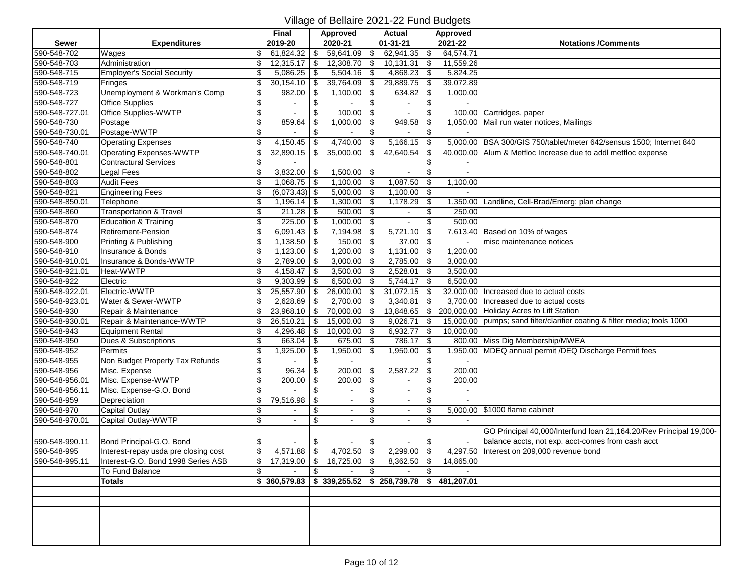|                |                                      |                           | Final                    |            | <b>Approved</b>          |     | <b>Actual</b>  |                           | Approved                                                                                       |                                                                           |
|----------------|--------------------------------------|---------------------------|--------------------------|------------|--------------------------|-----|----------------|---------------------------|------------------------------------------------------------------------------------------------|---------------------------------------------------------------------------|
| <b>Sewer</b>   | <b>Expenditures</b>                  |                           | 2019-20                  |            | 2020-21                  |     | $01 - 31 - 21$ |                           | 2021-22                                                                                        | <b>Notations /Comments</b>                                                |
| 590-548-702    | Wages                                | \$                        | 61,824.32                | \$         | 759,641.09               | \$  | 62,941.35      | \$                        | 64,574.71                                                                                      |                                                                           |
| 590-548-703    | Administration                       | \$                        | 12,315.17                | - \$       | $12,308.70$ \$           |     | 10,131.31      | \$                        | 11,559.26                                                                                      |                                                                           |
| 590-548-715    | <b>Employer's Social Security</b>    | \$                        | 5,086.25                 | -\$        | 5,504.16                 | \$  | 4,868.23       | \$                        | 5,824.25                                                                                       |                                                                           |
| 590-548-719    | Fringes                              | \$                        | 30,154.10                | \$         | 39,764.09                | \$  | 29,889.75      | \$                        | 39,072.89                                                                                      |                                                                           |
| 590-548-723    | Unemployment & Workman's Comp        | \$                        | 982.00                   | \$         | $1,100.00$ \ \$          |     | 634.82         | \$                        | 1,000.00                                                                                       |                                                                           |
| 590-548-727    | <b>Office Supplies</b>               | \$                        |                          | \$         |                          | \$  |                | \$                        |                                                                                                |                                                                           |
| 590-548-727.01 | Office Supplies-WWTP                 | \$                        | $\blacksquare$           | \$         | $100.00$   \$            |     | $\sim$         | \$                        |                                                                                                | 100.00 Cartridges, paper                                                  |
| 590-548-730    | Postage                              | $\overline{\mathcal{L}}$  | 859.64                   | \$         | 1,000.00                 | -\$ | 949.58         | \$                        |                                                                                                | 1,050.00 Mail run water notices, Mailings                                 |
| 590-548-730.01 | Postage-WWTP                         | $\sqrt[6]{\frac{1}{2}}$   |                          | \$         |                          | \$  |                | \$                        |                                                                                                |                                                                           |
| 590-548-740    | <b>Operating Expenses</b>            | \$                        | 4,150.45                 |            | $4,740.00$ \$            |     | 5,166.15       | \$                        |                                                                                                | 5,000.00 BSA 300/GIS 750/tablet/meter 642/sensus 1500; Internet 840       |
| 590-548-740.01 | Operating Expenses-WWTP              | $\overline{\mathcal{E}}$  | 32,890.15                | \$         | 35,000.00                | \$  | 42,640.54      | \$                        |                                                                                                | 40,000.00 Alum & Metfloc Increase due to addl metfloc expense             |
| 590-548-801    | <b>Contractural Services</b>         | $\overline{\mathcal{S}}$  |                          |            |                          |     |                | \$                        |                                                                                                |                                                                           |
| 590-548-802    | Legal Fees                           | \$                        | 3,832.00                 | - \$       | $1,500.00$ \ \$          |     | $\blacksquare$ | \$                        | $\sim$                                                                                         |                                                                           |
| 590-548-803    | <b>Audit Fees</b>                    | \$                        | 1,068.75                 | -\$        | $1,100.00$ \$            |     | 1,087.50       | \$                        | 1,100.00                                                                                       |                                                                           |
| 590-548-821    | <b>Engineering Fees</b>              | \$                        | $(6,073.43)$ \$          |            | $5,000.00$ \$            |     | 1,100.00       | \$                        |                                                                                                |                                                                           |
| 590-548-850.01 | Telephone                            | \$                        | 1,196.14                 | -\$        | 1,300.00                 | \$  | 1,178.29       | \$                        | 1,350.00                                                                                       | Landline, Cell-Brad/Emerg; plan change                                    |
| 590-548-860    | <b>Transportation &amp; Travel</b>   | \$                        | 211.28                   | l \$       | $500.00$ \ \$            |     | $\blacksquare$ | \$                        | 250.00                                                                                         |                                                                           |
| 590-548-870    | <b>Education &amp; Training</b>      | \$                        | 225.00                   | \$         | 1,000.00                 | -\$ |                | \$                        | 500.00                                                                                         |                                                                           |
| 590-548-874    | <b>Retirement-Pension</b>            | \$                        | 6,091.43                 | l \$       | 7,194.98                 | \$  | 5,721.10       | \$                        |                                                                                                | 7,613.40 Based on 10% of wages                                            |
| 590-548-900    | Printing & Publishing                | \$                        | 1,138.50                 | l \$       | $150.00$ \$              |     | 37.00          | \$                        | $\sim$                                                                                         | misc maintenance notices                                                  |
| 590-548-910    | Insurance & Bonds                    | $\overline{\mathcal{L}}$  | 1,123.00                 | l \$       | $\overline{1,200.00}$ \$ |     | $1,131.00$ \$  |                           | 1,200.00                                                                                       |                                                                           |
| 590-548-910.01 | Insurance & Bonds-WWTP               | \$                        | 2,789.00                 | \$         | 3,000.00                 | \$  | 2,785.00       | \$                        | 3,000.00                                                                                       |                                                                           |
| 590-548-921.01 | Heat-WWTP                            | \$                        | 4,158.47                 | \$         | $3,500.00$ \ \$          |     | 2,528.01       | \$                        | 3,500.00                                                                                       |                                                                           |
| 590-548-922    | Electric                             | \$                        | 9,303.99                 | -\$        | 6,500.00                 | \$  | 5,744.17       | $\bullet$                 | 6,500.00                                                                                       |                                                                           |
| 590-548-922.01 | Electric-WWTP                        | \$                        | 25,557.90                | \$         | 26,000.00                | \$  | 31,072.15      | \$                        |                                                                                                | 32,000.00   Increased due to actual costs                                 |
| 590-548-923.01 | Water & Sewer-WWTP                   | \$                        | 2,628.69                 | -\$        | $2,700.00$ \$            |     | 3,340.81       | \$                        |                                                                                                | 3,700.00   Increased due to actual costs                                  |
| 590-548-930    | Repair & Maintenance                 | \$                        | 23,968.10                | -\$        | $70,000.00$ \$           |     | 13,848.65      | \$                        |                                                                                                | 200,000.00 Holiday Acres to Lift Station                                  |
| 590-548-930.01 | Repair & Maintenance-WWTP            | \$                        | 26,510.21                | \$         | 15,000.00                | \$  | 9,026.71       | \$                        |                                                                                                | 15,000.00 pumps; sand filter/clarifier coating & filter media; tools 1000 |
| 590-548-943    | <b>Equipment Rental</b>              | \$                        | 4,296.48                 | -\$        | $10,000.00$ \$           |     | 6,932.77       | $\boldsymbol{\mathsf{S}}$ | 10,000.00                                                                                      |                                                                           |
| 590-548-950    | Dues & Subscriptions                 | \$                        | 663.04                   | -\$        | 675.00 $\frac{1}{9}$     |     | 786.17         | \$                        |                                                                                                | 800.00 Miss Dig Membership/MWEA                                           |
| 590-548-952    | Permits                              | \$                        | 1,925.00                 | \$         | 1,950.00                 | \$  | 1,950.00       | \$                        |                                                                                                | 1,950.00 MDEQ annual permit /DEQ Discharge Permit fees                    |
| 590-548-955    | Non Budget Property Tax Refunds      | \$                        |                          | \$         |                          |     |                | \$                        | $\sim$                                                                                         |                                                                           |
| 590-548-956    | Misc. Expense                        | \$                        | 96.34                    | \$         | 200.00                   | \$  | 2,587.22       | \$                        | 200.00                                                                                         |                                                                           |
| 590-548-956.01 | Misc. Expense-WWTP                   | $\overline{\$}$           | 200.00                   | \$         | 200.00                   | \$  | $\mathbf{r}$   | \$                        | 200.00                                                                                         |                                                                           |
| 590-548-956.11 | Misc. Expense-G.O. Bond              | $\boldsymbol{\mathsf{S}}$ |                          |            |                          | \$  |                | $\sqrt{2}$                | $\sim$                                                                                         |                                                                           |
| 590-548-959    | Depreciation                         | \$                        | 79,516.98                | \$         | $\blacksquare$           | \$  | $\blacksquare$ | \$                        |                                                                                                |                                                                           |
| 590-548-970    | Capital Outlay                       | $\overline{\mathcal{S}}$  |                          | \$         |                          | \$  | $\blacksquare$ | \$                        |                                                                                                | 5,000.00 \$1000 flame cabinet                                             |
| 590-548-970.01 | Capital Outlay-WWTP                  | \$                        | $\sim$                   | \$         | $\sim$                   | \$  | $\blacksquare$ | \$                        |                                                                                                |                                                                           |
|                |                                      |                           |                          |            |                          |     |                |                           |                                                                                                | GO Principal 40,000/Interfund Ioan 21,164.20/Rev Principal 19,000-        |
| 590-548-990.11 | Bond Principal-G.O. Bond             | \$                        |                          | \$         |                          | \$  |                | \$                        |                                                                                                | balance accts, not exp. acct-comes from cash acct                         |
| 590-548-995    | Interest-repay usda pre closing cost | $\overline{\mathbf{e}}$   | 4,571.88                 | $\sqrt{2}$ | $4,702.50$ \$            |     | $2,299.00$ \$  |                           |                                                                                                | 4,297.50   Interest on 209,000 revenue bond                               |
| 590-548-995.11 | Interest-G.O. Bond 1998 Series ASB   |                           |                          |            |                          |     |                |                           | $\frac{1}{2}$ 17,319.00 $\frac{1}{2}$ 16,725.00 $\frac{1}{2}$ 8,362.50 $\frac{1}{2}$ 14,865.00 |                                                                           |
|                | To Fund Balance                      | \$                        | $\sim 10^{11}$ m $^{-1}$ | $\sqrt{3}$ | $-$ \$                   |     | $\sim 10^{-1}$ | $\sqrt{3}$                |                                                                                                |                                                                           |
|                | Totals                               |                           |                          |            |                          |     |                |                           | $$360,579.83$ $$339,255.52$ $$258,739.78$ $$481,207.01$                                        |                                                                           |
|                |                                      |                           |                          |            |                          |     |                |                           |                                                                                                |                                                                           |
|                |                                      |                           |                          |            |                          |     |                |                           |                                                                                                |                                                                           |
|                |                                      |                           |                          |            |                          |     |                |                           |                                                                                                |                                                                           |
|                |                                      |                           |                          |            |                          |     |                |                           |                                                                                                |                                                                           |
|                |                                      |                           |                          |            |                          |     |                |                           |                                                                                                |                                                                           |
|                |                                      |                           |                          |            |                          |     |                |                           |                                                                                                |                                                                           |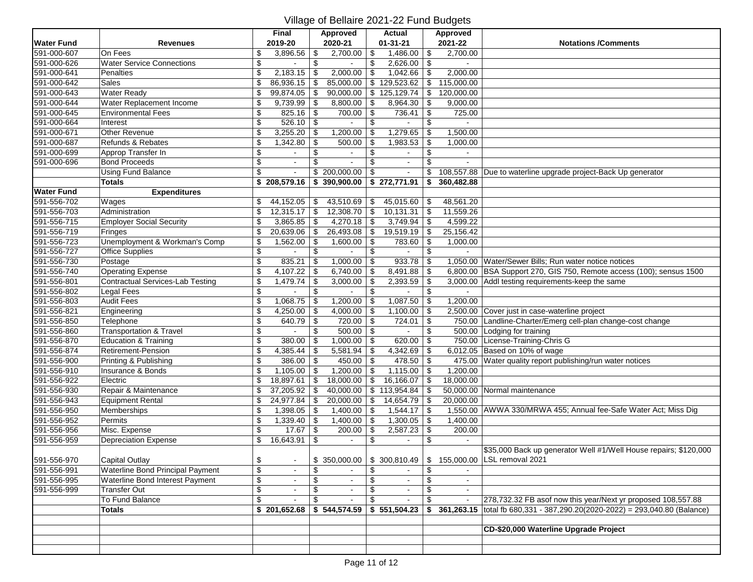|                   |                                        |                                  | Final         |     | Approved       | <b>Actual</b>     |                           | Approved                    |                                                                            |
|-------------------|----------------------------------------|----------------------------------|---------------|-----|----------------|-------------------|---------------------------|-----------------------------|----------------------------------------------------------------------------|
| <b>Water Fund</b> | <b>Revenues</b>                        |                                  | 2019-20       |     | 2020-21        | $01 - 31 - 21$    |                           | 2021-22                     | <b>Notations /Comments</b>                                                 |
| 591-000-607       | On Fees                                | \$                               | 3,896.56      | \$  | 2,700.00       | \$<br>1,486.00    | \$                        | 2,700.00                    |                                                                            |
| 591-000-626       | <b>Water Service Connections</b>       | \$                               |               | \$  |                | \$<br>2,626.00    | \$                        |                             |                                                                            |
| 591-000-641       | Penalties                              | \$                               | 2,183.15      | -\$ | 2,000.00       | \$<br>1,042.66    | \$                        | 2,000.00                    |                                                                            |
| 591-000-642       | Sales                                  | \$                               | 86,936.15     | \$  | 85,000.00      | \$129,523.62      | \$                        | 115,000.00                  |                                                                            |
| 591-000-643       | <b>Water Ready</b>                     | \$                               | 99,874.05     | \$  | 90,000.00      | \$125,129.74      | \$                        | 120,000.00                  |                                                                            |
| 591-000-644       | Water Replacement Income               | \$                               | 9,739.99      | -\$ | 8,800.00       | \$<br>8,964.30    | \$                        | 9,000.00                    |                                                                            |
| 591-000-645       | <b>Environmental Fees</b>              | \$                               | 825.16        | \$  | 700.00         | \$<br>736.41      | \$                        | 725.00                      |                                                                            |
| 591-000-664       | Interest                               | $\overline{\mathcal{L}}$         | 526.10        | -\$ |                | \$                | \$                        |                             |                                                                            |
| 591-000-671       | Other Revenue                          | \$                               | 3,255.20      | \$  | 1,200.00       | \$<br>1,279.65    | \$                        | 1,500.00                    |                                                                            |
| 591-000-687       | Refunds & Rebates                      | $\overline{\boldsymbol{\theta}}$ | 1,342.80      | \$  | 500.00         | \$<br>1,983.53    | \$                        | 1,000.00                    |                                                                            |
| 591-000-699       | Approp Transfer In                     | $\overline{\mathcal{S}}$         | $\sim$        | \$  |                | \$<br>$\sim$      | \$                        | $\sim$                      |                                                                            |
| 591-000-696       | <b>Bond Proceeds</b>                   | $\overline{\mathbf{e}}$          |               | \$  |                | \$<br>$\sim$      | $\mathfrak{S}$            |                             |                                                                            |
|                   | <b>Using Fund Balance</b>              | \$                               | $\sim$        |     | \$200,000.00   | \$<br>$\omega$ .  | \$                        | 108,557.88                  | Due to waterline upgrade project-Back Up generator                         |
|                   | <b>Totals</b>                          |                                  | \$208,579.16  |     | \$390,900.00   | \$272,771.91      | \$                        | 360,482.88                  |                                                                            |
| <b>Water Fund</b> | <b>Expenditures</b>                    |                                  |               |     |                |                   |                           |                             |                                                                            |
| 591-556-702       | Wages                                  | \$                               | 44,152.05     | -\$ | 43,510.69      | \$<br>45,015.60   | \$                        | 48,561.20                   |                                                                            |
| 591-556-703       | Administration                         | \$                               | 12,315.17     | \$  | 12,308.70      | \$<br>10,131.31   | \$                        | 11,559.26                   |                                                                            |
| 591-556-715       | <b>Employer Social Security</b>        | \$                               | 3,865.85      | -\$ | 4,270.18       | \$<br>3,749.94    | \$                        | 4,599.22                    |                                                                            |
| 591-556-719       | Fringes                                | \$                               | 20,639.06     | \$  | 26,493.08      | \$<br>19,519.19   | $\,$                      | 25,156.42                   |                                                                            |
| 591-556-723       | Unemployment & Workman's Comp          | \$                               | 1,562.00      | \$  | 1,600.00       | \$<br>783.60      | \$                        | 1,000.00                    |                                                                            |
| 591-556-727       | <b>Office Supplies</b>                 | $\sqrt[6]{3}$                    |               | \$  |                | \$                | \$                        |                             |                                                                            |
| 591-556-730       | Postage                                | $\sqrt[6]{\frac{1}{2}}$          | 835.21        | \$  | 1,000.00       | \$<br>933.78      | \$                        |                             | 1.050.00 Water/Sewer Bills: Run water notice notices                       |
| 591-556-740       | <b>Operating Expense</b>               | $\overline{\mathcal{S}}$         | 4,107.22      | \$  | 6,740.00       | \$<br>8,491.88    | \$                        |                             | 6,800.00 BSA Support 270, GIS 750, Remote access (100); sensus 1500        |
| 591-556-801       | Contractual Services-Lab Testing       | \$                               | 1,479.74      | \$  | 3,000.00       | \$<br>2,393.59    | \$                        |                             | 3,000.00 Addl testing requirements-keep the same                           |
| 591-556-802       | Legal Fees                             | \$                               |               | \$  |                | \$                | \$                        |                             |                                                                            |
| 591-556-803       | <b>Audit Fees</b>                      | \$                               | 1,068.75      | -\$ | 1,200.00       | \$<br>1,087.50    | \$                        | 1,200.00                    |                                                                            |
| 591-556-821       | Engineering                            | \$                               | 4,250.00      | \$  | 4,000.00       | \$<br>1,100.00    | \$                        |                             | 2,500.00 Cover just in case-waterline project                              |
| 591-556-850       | Telephone                              | \$                               | 640.79        | \$  | 720.00         | \$<br>724.01      | \$                        |                             | 750.00 Landline-Charter/Emerg cell-plan change-cost change                 |
| 591-556-860       | Transportation & Travel                | \$                               |               | \$  | 500.00         | \$                | \$                        |                             | 500.00 Lodging for training                                                |
| 591-556-870       | Education & Training                   | \$                               | 380.00        | \$  | 1,000.00       | \$<br>620.00      | \$                        |                             | 750.00 License-Training-Chris G                                            |
| 591-556-874       | <b>Retirement-Pension</b>              | $\overline{\mathcal{E}}$         | 4,385.44      | -\$ | 5,581.94       | \$<br>4,342.69    | \$                        |                             | 6,012.05 Based on 10% of wage                                              |
| 591-556-900       | Printing & Publishing                  | \$                               | 386.00        | \$  | 450.00         | \$<br>478.50      | \$                        |                             | 475.00 Water quality report publishing/run water notices                   |
| 591-556-910       | Insurance & Bonds                      | $\overline{\mathcal{L}}$         | 1,105.00      | -\$ | 1,200.00       | \$<br>1,115.00    | \$                        | 1,200.00                    |                                                                            |
| 591-556-922       | Electric                               | \$                               | 18,897.61     | \$  | 18,000.00      | \$<br>16,166.07   | \$                        | 18,000.00                   |                                                                            |
| 591-556-930       | Repair & Maintenance                   | \$                               | 37,205.92     | -\$ | 40,000.00      | \$113,954.84      | \$                        |                             | 50,000.00 Normal maintenance                                               |
| 591-556-943       | Equipment Rental                       | \$                               | 24,977.84     | \$  | 20,000.00      | \$<br>14,654.79   | \$                        | 20,000.00                   |                                                                            |
| 591-556-950       | Memberships                            | \$                               | 1,398.05      | -\$ | 1,400.00       | \$<br>1,544.17    | \$                        |                             | 1,550.00 AWWA 330/MRWA 455; Annual fee-Safe Water Act; Miss Dig            |
| 591-556-952       | Permits                                | \$                               | $1,339.40$ \$ |     | 1,400.00       | \$<br>1,300.05    | $\boldsymbol{\mathsf{S}}$ | 1,400.00                    |                                                                            |
| 591-556-956       | Misc. Expense                          | \$                               | 17.67         | -\$ | 200.00         | \$<br>2,587.23    | \$                        | 200.00                      |                                                                            |
| 591-556-959       | Depreciation Expense                   | \$                               | 16,643.91     | \$  | $\sim$         | \$<br>$\sim$      | \$                        |                             |                                                                            |
|                   |                                        |                                  |               |     |                |                   |                           |                             | \$35,000 Back up generator Well #1/Well House repairs; \$120,000           |
| 591-556-970       | Capital Outlay                         | \$                               |               |     |                |                   |                           |                             | \$ 350,000.00   \$ 300,810.49   \$ 155,000.00 LSL removal 2021             |
| 591-556-991       | Waterline Bond Principal Payment       | $\overline{\mathcal{L}}$         |               |     |                | \$                | \$                        |                             |                                                                            |
| 591-556-995       | <b>Waterline Bond Interest Payment</b> | \$                               | $\sim$        | -\$ | $\sim$         | \$<br>$\sim$      | \$                        | $\sim$                      |                                                                            |
| 591-556-999       | <b>Transfer Out</b>                    | \$                               | $\sim$        |     | $\sim$         | \$<br>$\sim$      | \$                        |                             |                                                                            |
|                   | To Fund Balance                        | \$                               | $\sim$        | \$  | $\blacksquare$ | \$<br>$\sim$      | \$                        | $\mathcal{L}_{\mathcal{A}}$ | 278,732.32 FB asof now this year/Next yr proposed 108,557.88               |
|                   | Totals                                 |                                  | \$201,652.68  |     | \$544,574.59   | $$551,504.23$ \\$ |                           |                             | 361,263.15 total fb 680,331 - 387,290.20(2020-2022) = 293,040.80 (Balance) |
|                   |                                        |                                  |               |     |                |                   |                           |                             |                                                                            |
|                   |                                        |                                  |               |     |                |                   |                           |                             | CD-\$20,000 Waterline Upgrade Project                                      |
|                   |                                        |                                  |               |     |                |                   |                           |                             |                                                                            |
|                   |                                        |                                  |               |     |                |                   |                           |                             |                                                                            |